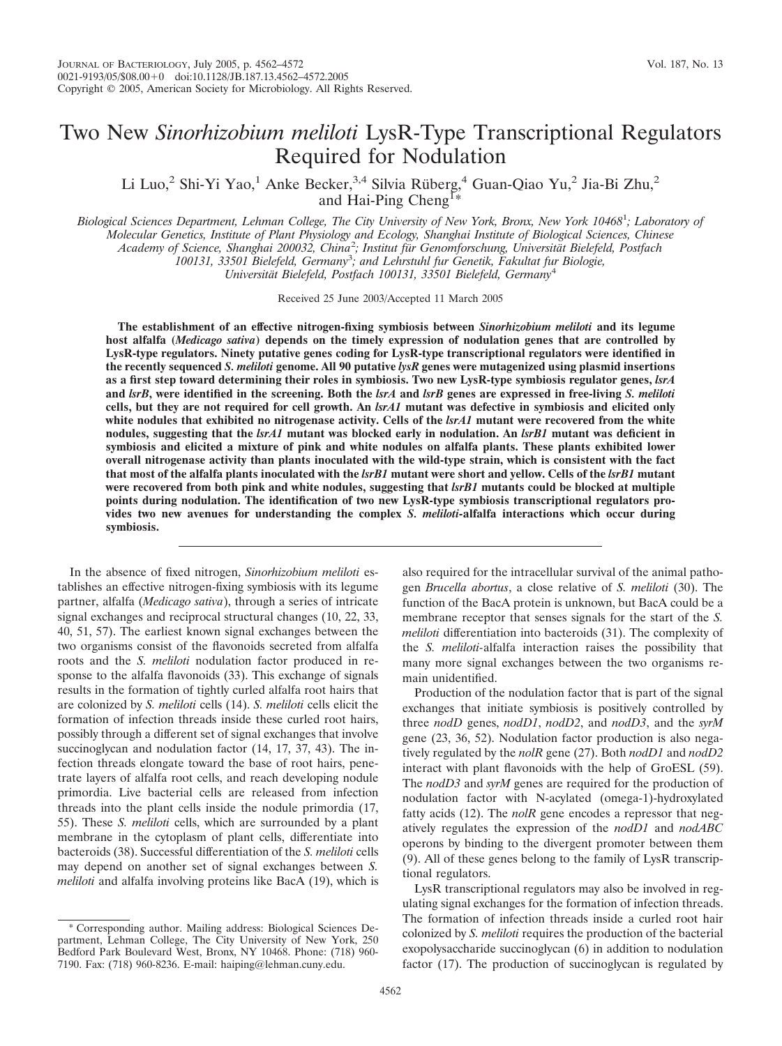# Two New *Sinorhizobium meliloti* LysR-Type Transcriptional Regulators Required for Nodulation

Li Luo,<sup>2</sup> Shi-Yi Yao,<sup>1</sup> Anke Becker,<sup>3,4</sup> Silvia Rüberg,<sup>4</sup> Guan-Qiao Yu,<sup>2</sup> Jia-Bi Zhu,<sup>2</sup> and Hai-Ping Cheng<sup>1\*</sup>

*Biological Sciences Department, Lehman College, The City University of New York, Bronx, New York 10468*<sup>1</sup> *; Laboratory of Molecular Genetics, Institute of Plant Physiology and Ecology, Shanghai Institute of Biological Sciences, Chinese Academy of Science, Shanghai 200032, China*<sup>2</sup> *; Institut fu¨r Genomforschung, Universita¨t Bielefeld, Postfach 100131, 33501 Bielefeld, Germany*<sup>3</sup> *; and Lehrstuhl fur Genetik, Fakultat fur Biologie, Universita¨t Bielefeld, Postfach 100131, 33501 Bielefeld, Germany*<sup>4</sup>

Received 25 June 2003/Accepted 11 March 2005

**The establishment of an effective nitrogen-fixing symbiosis between** *Sinorhizobium meliloti* **and its legume host alfalfa (***Medicago sativa***) depends on the timely expression of nodulation genes that are controlled by LysR-type regulators. Ninety putative genes coding for LysR-type transcriptional regulators were identified in the recently sequenced** *S. meliloti* **genome. All 90 putative** *lysR* **genes were mutagenized using plasmid insertions as a first step toward determining their roles in symbiosis. Two new LysR-type symbiosis regulator genes,** *lsrA* **and** *lsrB***, were identified in the screening. Both the** *lsrA* **and** *lsrB* **genes are expressed in free-living** *S. meliloti* **cells, but they are not required for cell growth. An** *lsrA1* **mutant was defective in symbiosis and elicited only white nodules that exhibited no nitrogenase activity. Cells of the** *lsrA1* **mutant were recovered from the white nodules, suggesting that the** *lsrA1* **mutant was blocked early in nodulation. An** *lsrB1* **mutant was deficient in symbiosis and elicited a mixture of pink and white nodules on alfalfa plants. These plants exhibited lower overall nitrogenase activity than plants inoculated with the wild-type strain, which is consistent with the fact that most of the alfalfa plants inoculated with the** *lsrB1* **mutant were short and yellow. Cells of the** *lsrB1* **mutant were recovered from both pink and white nodules, suggesting that** *lsrB1* **mutants could be blocked at multiple points during nodulation. The identification of two new LysR-type symbiosis transcriptional regulators provides two new avenues for understanding the complex** *S. meliloti-***alfalfa interactions which occur during symbiosis.**

In the absence of fixed nitrogen, *Sinorhizobium meliloti* establishes an effective nitrogen-fixing symbiosis with its legume partner, alfalfa (*Medicago sativa*), through a series of intricate signal exchanges and reciprocal structural changes (10, 22, 33, 40, 51, 57). The earliest known signal exchanges between the two organisms consist of the flavonoids secreted from alfalfa roots and the *S. meliloti* nodulation factor produced in response to the alfalfa flavonoids (33). This exchange of signals results in the formation of tightly curled alfalfa root hairs that are colonized by *S. meliloti* cells (14). *S. meliloti* cells elicit the formation of infection threads inside these curled root hairs, possibly through a different set of signal exchanges that involve succinoglycan and nodulation factor (14, 17, 37, 43). The infection threads elongate toward the base of root hairs, penetrate layers of alfalfa root cells, and reach developing nodule primordia. Live bacterial cells are released from infection threads into the plant cells inside the nodule primordia (17, 55). These *S. meliloti* cells, which are surrounded by a plant membrane in the cytoplasm of plant cells, differentiate into bacteroids (38). Successful differentiation of the *S. meliloti* cells may depend on another set of signal exchanges between *S. meliloti* and alfalfa involving proteins like BacA (19), which is

\* Corresponding author. Mailing address: Biological Sciences Department, Lehman College, The City University of New York, 250 Bedford Park Boulevard West, Bronx, NY 10468. Phone: (718) 960- 7190. Fax: (718) 960-8236. E-mail: haiping@lehman.cuny.edu.

also required for the intracellular survival of the animal pathogen *Brucella abortus*, a close relative of *S. meliloti* (30). The function of the BacA protein is unknown, but BacA could be a membrane receptor that senses signals for the start of the *S. meliloti* differentiation into bacteroids (31). The complexity of the *S. meliloti-*alfalfa interaction raises the possibility that many more signal exchanges between the two organisms remain unidentified.

Production of the nodulation factor that is part of the signal exchanges that initiate symbiosis is positively controlled by three *nodD* genes, *nodD1*, *nodD2*, and *nodD3*, and the *syrM* gene (23, 36, 52). Nodulation factor production is also negatively regulated by the *nolR* gene (27). Both *nodD1* and *nodD2* interact with plant flavonoids with the help of GroESL (59). The *nodD3* and *syrM* genes are required for the production of nodulation factor with N-acylated (omega-1)-hydroxylated fatty acids (12). The *nolR* gene encodes a repressor that negatively regulates the expression of the *nodD1* and *nodABC* operons by binding to the divergent promoter between them (9). All of these genes belong to the family of LysR transcriptional regulators.

LysR transcriptional regulators may also be involved in regulating signal exchanges for the formation of infection threads. The formation of infection threads inside a curled root hair colonized by *S. meliloti* requires the production of the bacterial exopolysaccharide succinoglycan (6) in addition to nodulation factor (17). The production of succinoglycan is regulated by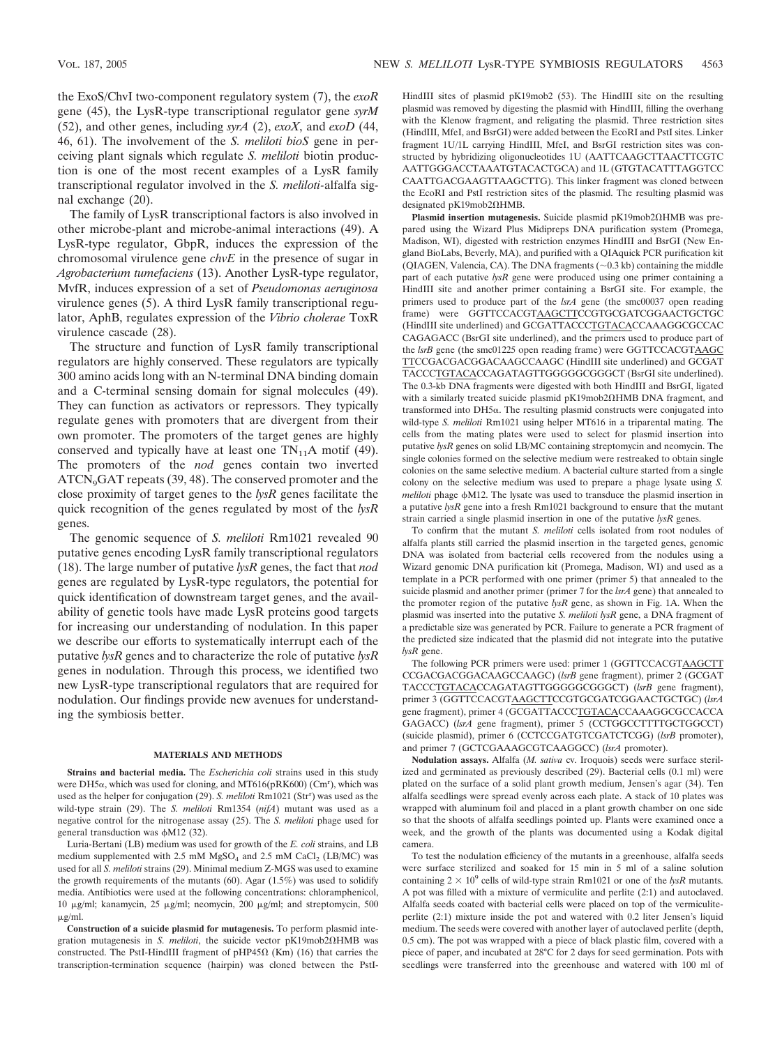the ExoS/ChvI two-component regulatory system (7), the *exoR* gene (45), the LysR-type transcriptional regulator gene *syrM* (52), and other genes, including *syrA* (2), *exoX*, and *exoD* (44, 46, 61). The involvement of the *S. meliloti bioS* gene in perceiving plant signals which regulate *S. meliloti* biotin production is one of the most recent examples of a LysR family transcriptional regulator involved in the *S. meliloti-*alfalfa signal exchange (20).

The family of LysR transcriptional factors is also involved in other microbe-plant and microbe-animal interactions (49). A LysR-type regulator, GbpR, induces the expression of the chromosomal virulence gene *chvE* in the presence of sugar in *Agrobacterium tumefaciens* (13). Another LysR-type regulator, MvfR, induces expression of a set of *Pseudomonas aeruginosa* virulence genes (5). A third LysR family transcriptional regulator, AphB, regulates expression of the *Vibrio cholerae* ToxR virulence cascade (28).

The structure and function of LysR family transcriptional regulators are highly conserved. These regulators are typically 300 amino acids long with an N-terminal DNA binding domain and a C-terminal sensing domain for signal molecules (49). They can function as activators or repressors. They typically regulate genes with promoters that are divergent from their own promoter. The promoters of the target genes are highly conserved and typically have at least one  $TN_{11}A$  motif (49). The promoters of the *nod* genes contain two inverted  $ATCN<sub>9</sub>GAT$  repeats (39, 48). The conserved promoter and the close proximity of target genes to the *lysR* genes facilitate the quick recognition of the genes regulated by most of the *lysR* genes.

The genomic sequence of *S. meliloti* Rm1021 revealed 90 putative genes encoding LysR family transcriptional regulators (18). The large number of putative *lysR* genes, the fact that *nod* genes are regulated by LysR-type regulators, the potential for quick identification of downstream target genes, and the availability of genetic tools have made LysR proteins good targets for increasing our understanding of nodulation. In this paper we describe our efforts to systematically interrupt each of the putative *lysR* genes and to characterize the role of putative *lysR* genes in nodulation. Through this process, we identified two new LysR-type transcriptional regulators that are required for nodulation. Our findings provide new avenues for understanding the symbiosis better.

### **MATERIALS AND METHODS**

**Strains and bacterial media.** The *Escherichia coli* strains used in this study were  $DH5\alpha$ , which was used for cloning, and MT616( $pRK600$ ) (Cm<sup>r</sup>), which was used as the helper for conjugation (29). *S. meliloti* Rm1021 (Str<sup>r</sup> ) was used as the wild-type strain (29). The *S. meliloti* Rm1354 (*nifA*) mutant was used as a negative control for the nitrogenase assay (25). The *S. meliloti* phage used for general transduction was  $\phi$ M12 (32).

Luria-Bertani (LB) medium was used for growth of the *E. coli* strains, and LB medium supplemented with  $2.5 \text{ mM } MgSO_4$  and  $2.5 \text{ mM } CaCl_2$  (LB/MC) was used for all *S. meliloti* strains (29). Minimal medium Z-MGS was used to examine the growth requirements of the mutants  $(60)$ . Agar  $(1.5%)$  was used to solidify media. Antibiotics were used at the following concentrations: chloramphenicol, 10  $\mu$ g/ml; kanamycin, 25  $\mu$ g/ml; neomycin, 200  $\mu$ g/ml; and streptomycin, 500  $\mu$ g/ml.

**Construction of a suicide plasmid for mutagenesis.** To perform plasmid integration mutagenesis in *S. meliloti*, the suicide vector  $pK19mob2\Omega HMB$  was constructed. The PstI-HindIII fragment of pHP45 $\Omega$  (Km) (16) that carries the transcription-termination sequence (hairpin) was cloned between the PstI-

HindIII sites of plasmid pK19mob2 (53). The HindIII site on the resulting plasmid was removed by digesting the plasmid with HindIII, filling the overhang with the Klenow fragment, and religating the plasmid. Three restriction sites (HindIII, MfeI, and BsrGI) were added between the EcoRI and PstI sites. Linker fragment 1U/1L carrying HindIII, MfeI, and BsrGI restriction sites was constructed by hybridizing oligonucleotides 1U (AATTCAAGCTTAACTTCGTC AATTGGGACCTAAATGTACACTGCA) and 1L (GTGTACATTTAGGTCC CAATTGACGAAGTTAAGCTTG). This linker fragment was cloned between the EcoRI and PstI restriction sites of the plasmid. The resulting plasmid was designated  $pK19mob2\Omega HMB$ .

**Plasmid insertion mutagenesis.** Suicide plasmid pK19mob2ΩHMB was prepared using the Wizard Plus Midipreps DNA purification system (Promega, Madison, WI), digested with restriction enzymes HindIII and BsrGI (New England BioLabs, Beverly, MA), and purified with a QIAquick PCR purification kit (QIAGEN, Valencia, CA). The DNA fragments  $(\sim 0.3 \text{ kb})$  containing the middle part of each putative *lysR* gene were produced using one primer containing a HindIII site and another primer containing a BsrGI site. For example, the primers used to produce part of the *lsrA* gene (the smc00037 open reading frame) were GGTTCCACGTAAGCTTCCGTGCGATCGGAACTGCTGC (HindIII site underlined) and GCGATTACCCTGTACACCAAAGGCGCCAC CAGAGACC (BsrGI site underlined), and the primers used to produce part of the *lsrB* gene (the smc01225 open reading frame) were GGTTCCACGTAAGC TTCCGACGACGGACAAGCCAAGC (HindIII site underlined) and GCGAT TACCCTGTACACCAGATAGTTGGGGGCGGGCT (BsrGI site underlined). The 0.3-kb DNA fragments were digested with both HindIII and BsrGI, ligated with a similarly treated suicide plasmid  $pK19mob2\Omega HMB$  DNA fragment, and transformed into DH5 $\alpha$ . The resulting plasmid constructs were conjugated into wild-type *S. meliloti* Rm1021 using helper MT616 in a triparental mating. The cells from the mating plates were used to select for plasmid insertion into putative *lysR* genes on solid LB/MC containing streptomycin and neomycin. The single colonies formed on the selective medium were restreaked to obtain single colonies on the same selective medium. A bacterial culture started from a single colony on the selective medium was used to prepare a phage lysate using *S. meliloti* phage  $\phi$ M12. The lysate was used to transduce the plasmid insertion in a putative *lysR* gene into a fresh Rm1021 background to ensure that the mutant strain carried a single plasmid insertion in one of the putative *lysR* genes.

To confirm that the mutant *S. meliloti* cells isolated from root nodules of alfalfa plants still carried the plasmid insertion in the targeted genes, genomic DNA was isolated from bacterial cells recovered from the nodules using a Wizard genomic DNA purification kit (Promega, Madison, WI) and used as a template in a PCR performed with one primer (primer 5) that annealed to the suicide plasmid and another primer (primer 7 for the *lsrA* gene) that annealed to the promoter region of the putative *lysR* gene, as shown in Fig. 1A. When the plasmid was inserted into the putative *S. meliloti lysR* gene, a DNA fragment of a predictable size was generated by PCR. Failure to generate a PCR fragment of the predicted size indicated that the plasmid did not integrate into the putative *lysR* gene.

The following PCR primers were used: primer 1 (GGTTCCACGTAAGCTT CCGACGACGGACAAGCCAAGC) (*lsrB* gene fragment), primer 2 (GCGAT TACCCTGTACACCAGATAGTTGGGGGCGGGCT) (*lsrB* gene fragment), primer 3 (GGTTCCACGTAAGCTTCCGTGCGATCGGAACTGCTGC) (*lsrA* gene fragment), primer 4 (GCGATTACCCTGTACACCAAAGGCGCCACCA GAGACC) (*lsrA* gene fragment), primer 5 (CCTGGCCTTTTGCTGGCCT) (suicide plasmid), primer 6 (CCTCCGATGTCGATCTCGG) (*lsrB* promoter), and primer 7 (GCTCGAAAGCGTCAAGGCC) (*lsrA* promoter).

**Nodulation assays.** Alfalfa (*M. sativa* cv. Iroquois) seeds were surface sterilized and germinated as previously described (29). Bacterial cells (0.1 ml) were plated on the surface of a solid plant growth medium, Jensen's agar (34). Ten alfalfa seedlings were spread evenly across each plate. A stack of 10 plates was wrapped with aluminum foil and placed in a plant growth chamber on one side so that the shoots of alfalfa seedlings pointed up. Plants were examined once a week, and the growth of the plants was documented using a Kodak digital camera.

To test the nodulation efficiency of the mutants in a greenhouse, alfalfa seeds were surface sterilized and soaked for 15 min in 5 ml of a saline solution containing  $2 \times 10^9$  cells of wild-type strain Rm1021 or one of the *lysR* mutants. A pot was filled with a mixture of vermiculite and perlite (2:1) and autoclaved. Alfalfa seeds coated with bacterial cells were placed on top of the vermiculiteperlite (2:1) mixture inside the pot and watered with 0.2 liter Jensen's liquid medium. The seeds were covered with another layer of autoclaved perlite (depth, 0.5 cm). The pot was wrapped with a piece of black plastic film, covered with a piece of paper, and incubated at 28°C for 2 days for seed germination. Pots with seedlings were transferred into the greenhouse and watered with 100 ml of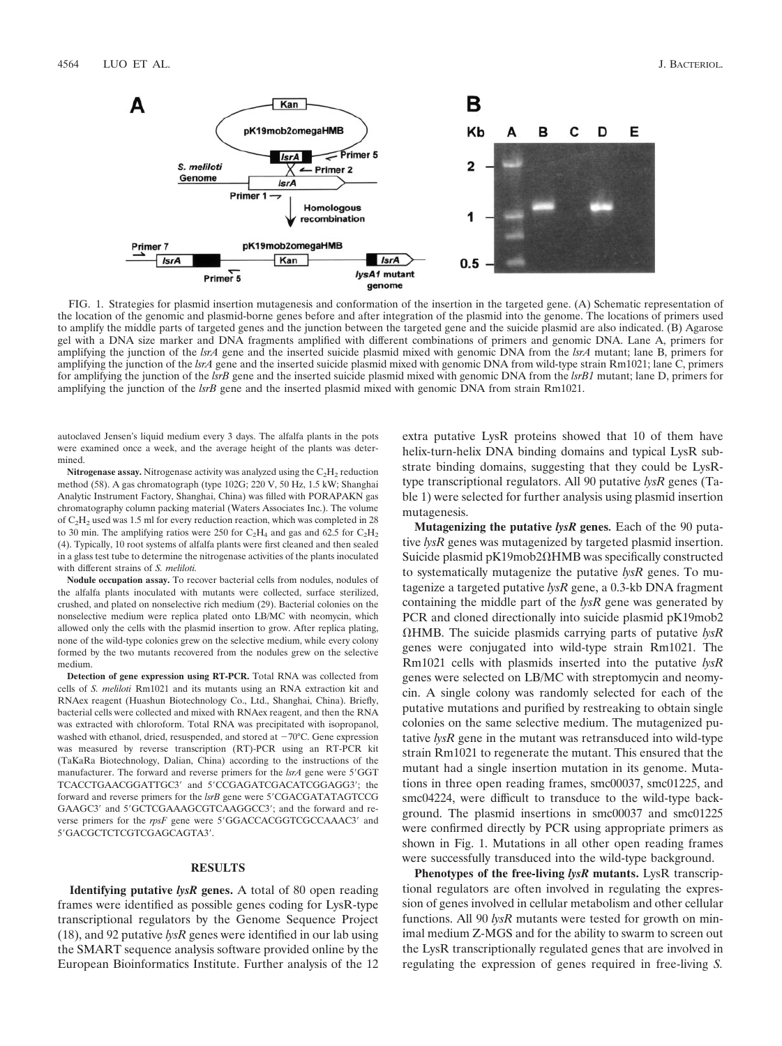

FIG. 1. Strategies for plasmid insertion mutagenesis and conformation of the insertion in the targeted gene. (A) Schematic representation of the location of the genomic and plasmid-borne genes before and after integration of the plasmid into the genome. The locations of primers used to amplify the middle parts of targeted genes and the junction between the targeted gene and the suicide plasmid are also indicated. (B) Agarose gel with a DNA size marker and DNA fragments amplified with different combinations of primers and genomic DNA. Lane A, primers for amplifying the junction of the *lsrA* gene and the inserted suicide plasmid mixed with genomic DNA from the *lsrA* mutant; lane B, primers for amplifying the junction of the *lsrA* gene and the inserted suicide plasmid mixed with genomic DNA from wild-type strain Rm1021; lane C, primers for amplifying the junction of the *lsrB* gene and the inserted suicide plasmid mixed with genomic DNA from the *lsrB1* mutant; lane D, primers for amplifying the junction of the *lsrB* gene and the inserted plasmid mixed with genomic DNA from strain Rm1021.

autoclaved Jensen's liquid medium every 3 days. The alfalfa plants in the pots were examined once a week, and the average height of the plants was determined.

**Nitrogenase assay.** Nitrogenase activity was analyzed using the  $C_2H_2$  reduction method (58). A gas chromatograph (type 102G; 220 V, 50 Hz, 1.5 kW; Shanghai Analytic Instrument Factory, Shanghai, China) was filled with PORAPAKN gas chromatography column packing material (Waters Associates Inc.). The volume of  $C_2H_2$  used was 1.5 ml for every reduction reaction, which was completed in 28 to 30 min. The amplifying ratios were 250 for  $C_2H_4$  and gas and 62.5 for  $C_2H_2$ (4). Typically, 10 root systems of alfalfa plants were first cleaned and then sealed in a glass test tube to determine the nitrogenase activities of the plants inoculated with different strains of *S. meliloti.*

**Nodule occupation assay.** To recover bacterial cells from nodules, nodules of the alfalfa plants inoculated with mutants were collected, surface sterilized, crushed, and plated on nonselective rich medium (29). Bacterial colonies on the nonselective medium were replica plated onto LB/MC with neomycin, which allowed only the cells with the plasmid insertion to grow. After replica plating, none of the wild-type colonies grew on the selective medium, while every colony formed by the two mutants recovered from the nodules grew on the selective medium.

**Detection of gene expression using RT-PCR.** Total RNA was collected from cells of *S. meliloti* Rm1021 and its mutants using an RNA extraction kit and RNAex reagent (Huashun Biotechnology Co., Ltd., Shanghai, China). Briefly, bacterial cells were collected and mixed with RNAex reagent, and then the RNA was extracted with chloroform. Total RNA was precipitated with isopropanol, washed with ethanol, dried, resuspended, and stored at  $-70^{\circ}$ C. Gene expression was measured by reverse transcription (RT)-PCR using an RT-PCR kit (TaKaRa Biotechnology, Dalian, China) according to the instructions of the manufacturer. The forward and reverse primers for the *lsrA* gene were 5'GGT TCACCTGAACGGATTGC3' and 5'CCGAGATCGACATCGGAGG3'; the forward and reverse primers for the *lsrB* gene were 5'CGACGATATAGTCCG GAAGC3' and 5'GCTCGAAAGCGTCAAGGCC3'; and the forward and reverse primers for the *rpsF* gene were 5'GGACCACGGTCGCCAAAC3' and 5'GACGCTCTCGTCGAGCAGTA3'.

## **RESULTS**

**Identifying putative** *lysR* **genes.** A total of 80 open reading frames were identified as possible genes coding for LysR-type transcriptional regulators by the Genome Sequence Project (18), and 92 putative *lysR* genes were identified in our lab using the SMART sequence analysis software provided online by the European Bioinformatics Institute. Further analysis of the 12

extra putative LysR proteins showed that 10 of them have helix-turn-helix DNA binding domains and typical LysR substrate binding domains, suggesting that they could be LysRtype transcriptional regulators. All 90 putative *lysR* genes (Table 1) were selected for further analysis using plasmid insertion mutagenesis.

**Mutagenizing the putative** *lysR* **genes***.* Each of the 90 putative *lysR* genes was mutagenized by targeted plasmid insertion. Suicide plasmid  $pK19 \text{mob2} \Omega$ HMB was specifically constructed to systematically mutagenize the putative *lysR* genes. To mutagenize a targeted putative *lysR* gene, a 0.3-kb DNA fragment containing the middle part of the *lysR* gene was generated by PCR and cloned directionally into suicide plasmid pK19mob2 HMB. The suicide plasmids carrying parts of putative *lysR* genes were conjugated into wild-type strain Rm1021. The Rm1021 cells with plasmids inserted into the putative *lysR* genes were selected on LB/MC with streptomycin and neomycin. A single colony was randomly selected for each of the putative mutations and purified by restreaking to obtain single colonies on the same selective medium. The mutagenized putative *lysR* gene in the mutant was retransduced into wild-type strain Rm1021 to regenerate the mutant. This ensured that the mutant had a single insertion mutation in its genome. Mutations in three open reading frames, smc00037, smc01225, and smc04224, were difficult to transduce to the wild-type background. The plasmid insertions in smc00037 and smc01225 were confirmed directly by PCR using appropriate primers as shown in Fig. 1. Mutations in all other open reading frames were successfully transduced into the wild-type background.

**Phenotypes of the free-living** *lysR* **mutants.** LysR transcriptional regulators are often involved in regulating the expression of genes involved in cellular metabolism and other cellular functions. All 90 *lysR* mutants were tested for growth on minimal medium Z-MGS and for the ability to swarm to screen out the LysR transcriptionally regulated genes that are involved in regulating the expression of genes required in free-living *S.*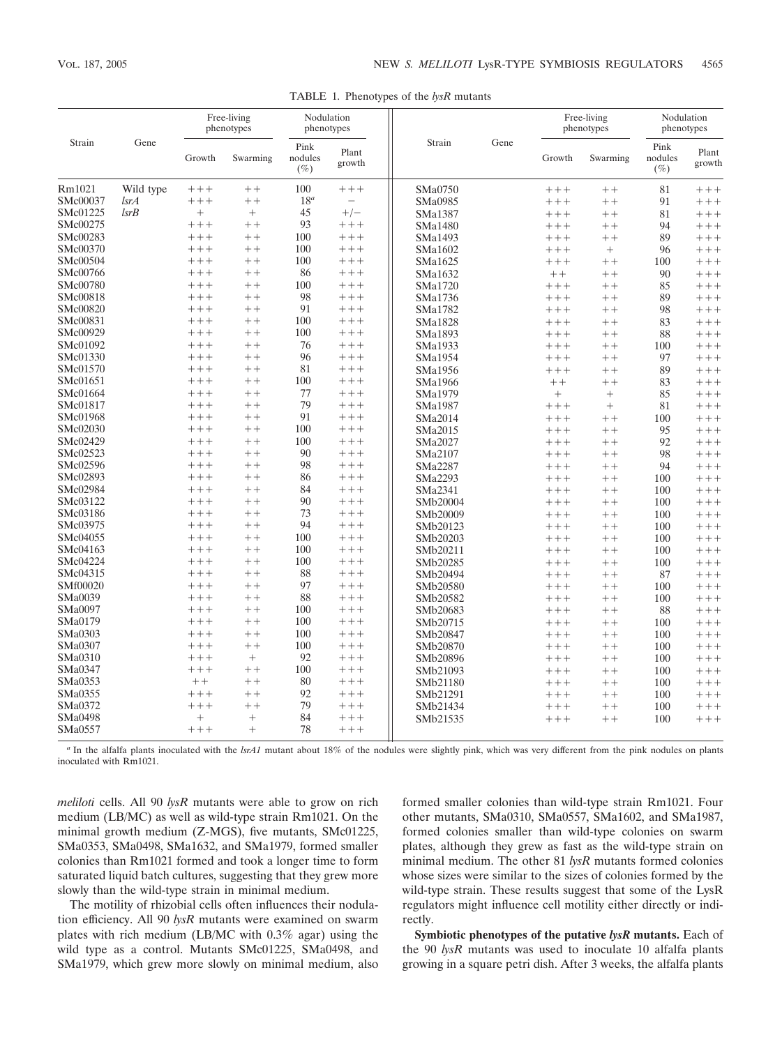TABLE 1. Phenotypes of the *lysR* mutants

| Strain<br>Gene<br>Strain<br>Gene<br>Pink<br>Pink<br>Plant<br>Growth<br>nodules<br>Growth<br>nodules<br>Swarming<br>Swarming<br>growth<br>$(\%)$<br>$(\%)$<br>$++++$<br>Rm1021<br>Wild type<br>$++$<br>100<br>$++++$<br>SMa0750<br>$+++$<br>81<br>$++$<br>18 <sup>a</sup><br>SMc00037<br>$+++$<br>$++$<br>lsrA<br>$\overline{\phantom{0}}$<br>SMa0985<br>$++++$<br>$++$<br>91<br>lsrB<br>45<br>$+/-$<br>SMc01225<br>$^{+}$<br>$^{+}$<br>81<br>SMa1387<br>$+++$<br>$++$<br>93<br>$+++$<br>SMc00275<br>$++++$<br>$++$<br>94<br>SMa1480<br>$+++$<br>$++$<br>SMc00283<br>$+++$<br>$++$<br>100<br>$+++$<br>89<br>SMa1493<br>$++++$<br>$++$<br>SMc00370<br>$++++$<br>$++$<br>100<br>$+++$<br>SMa1602<br>$++++$<br>96<br>SMc00504<br>$++++$<br>$++$<br>100<br>$+++$<br>$+++$<br>100<br>SMa1625<br>$++$<br>$+++$<br>$++++$<br>SMc00766<br>$++$<br>86<br>$++$<br>90<br>SMa1632<br>$++$<br>SMc00780<br>$+++$<br>$++$<br>100<br>$++++$<br>$++++$<br>85<br>SMa1720<br>$++$<br>SMc00818<br>$+++$<br>$++$<br>98<br>$+++$<br>SMa1736<br>$+++$<br>$++$<br>89<br>$++++$<br>$++$<br>91<br>$++++$<br>SMc00820<br>98<br>SMa1782<br>$++++$<br>$++$<br>100<br>SMc00831<br>$++++$<br>$++$<br>$+++$<br>83<br><b>SMa1828</b><br>$++++$<br>$++$<br>$+++$<br>SMc00929<br>$++$<br>100<br>$+++$<br>$+++$<br>88<br>SMa1893<br>$++$<br>$+++$<br>76<br>$++++$<br>SMc01092<br>$++$<br>SMa1933<br>$+++$<br>100<br>$++$<br>SMc01330<br>$+++$<br>$++$<br>96<br>$++++$<br>SMa1954<br>$+++$<br>$++$<br>97<br>SMc01570<br>$+++$<br>$++$<br>81<br>$+++$<br>89<br>SMa1956<br>$++++$<br>$++$<br>SMc01651<br>$++++$<br>$++$<br>100<br>$+++$<br>83<br>SMa1966<br>$++$<br>$++$<br>SMc01664<br>$++++$<br>$++$<br>77<br>$++++$<br>85<br>SMa1979<br>$^{+}$<br>$^{+}$<br>79<br>$+++$<br>$++++$<br>SMc01817<br>$++$<br>81<br>SMa1987<br>$++++$<br>$^{+}$<br>SMc01968<br>$+++$<br>91<br>$++++$<br>$++$<br>$++++$<br>100<br>SMa2014<br>$++$<br>$++++$<br>100<br>$+++$<br>SMc02030<br>$++$<br>SMa2015<br>$+++$<br>95<br>$++$<br>SMc02429<br>$++++$<br>$++$<br>100<br>$+++$<br>92<br>SMa2027<br>$++++$<br>$++$<br>90<br>SMc02523<br>$++++$<br>$++$<br>$+++$<br>SMa2107<br>98<br>$++++$<br>$++$<br>98<br>SMc02596<br>$+++$<br>$++$<br>$+++$<br>SMa2287<br>$+++$<br>94<br>$++$<br>$++++$<br>86<br>$++++$<br>SMc02893<br>$++$<br>SMa2293<br>$+++$<br>100<br>$++$<br>SMc02984<br>$+++$<br>$++$<br>84<br>$++++$<br>$++++$<br>SMa2341<br>$++$<br>100<br>SMc03122<br>$+++$<br>$++$<br>90<br>$+++$<br>SMb20004<br>$++++$<br>100<br>$++$<br>73<br>SMc03186<br>$++++$<br>$++$<br>$+++$<br>SMb20009<br>$++++$<br>$++$<br>100<br>$++$<br>94<br>$++++$<br>SMc03975<br>$+++$<br>SMb20123<br>$++++$<br>$++$<br>100<br>$+++$<br>$++++$<br>SMc04055<br>$++$<br>100<br>SMb20203<br>$++++$<br>100<br>$++$<br>SMc04163<br>$+++$<br>$++$<br>100<br>$+++$<br>SMb20211<br>$+++$<br>100<br>$++$<br>SMc04224<br>$+++$<br>$+++$<br>$++$<br>100<br>SMb20285<br>$+++$<br>100<br>$++$<br>SMc04315<br>$+++$<br>$++$<br>88<br>$+++$<br>SMb20494<br>$++++$<br>87<br>$++$<br>97<br>SMf00020<br>$++++$<br>$++$<br>$++++$<br>SMb20580<br>$++++$<br>$++$<br>100<br>$++++$<br>88<br>$++++$<br>SMa0039<br>$++$<br>$+++$<br>100<br>SMb20582<br>$++$<br>SMa0097<br>$+++$<br>$++$<br>$++++$<br>100<br>SMb20683<br>$++++$<br>88<br>$++$<br>SMa0179<br>$+++$<br>$++++$<br>$++$<br>100<br>SMb20715<br>$++++$<br>100<br>$++$<br>SMa0303<br>$++++$<br>$+++$<br>$++$<br>100<br>SMb20847<br>$+++$<br>$++$<br>100<br>SMa0307<br>$++++$<br>$++$<br>100<br>$+++$<br>SMb20870<br>$++++$<br>$++$<br>100<br>92<br>SMa0310<br>$++++$<br>$^{+}$<br>$+++$<br>SMb20896<br>$++++$<br>100<br>$++$<br>SMa0347<br>$++++$<br>$++$<br>100<br>$++++$<br>SMb21093<br>$+++$<br>$++$<br>100 |  | Free-living<br>phenotypes |  | Nodulation<br>phenotypes |  |  | Free-living<br>phenotypes |  | Nodulation<br>phenotypes |                  |
|------------------------------------------------------------------------------------------------------------------------------------------------------------------------------------------------------------------------------------------------------------------------------------------------------------------------------------------------------------------------------------------------------------------------------------------------------------------------------------------------------------------------------------------------------------------------------------------------------------------------------------------------------------------------------------------------------------------------------------------------------------------------------------------------------------------------------------------------------------------------------------------------------------------------------------------------------------------------------------------------------------------------------------------------------------------------------------------------------------------------------------------------------------------------------------------------------------------------------------------------------------------------------------------------------------------------------------------------------------------------------------------------------------------------------------------------------------------------------------------------------------------------------------------------------------------------------------------------------------------------------------------------------------------------------------------------------------------------------------------------------------------------------------------------------------------------------------------------------------------------------------------------------------------------------------------------------------------------------------------------------------------------------------------------------------------------------------------------------------------------------------------------------------------------------------------------------------------------------------------------------------------------------------------------------------------------------------------------------------------------------------------------------------------------------------------------------------------------------------------------------------------------------------------------------------------------------------------------------------------------------------------------------------------------------------------------------------------------------------------------------------------------------------------------------------------------------------------------------------------------------------------------------------------------------------------------------------------------------------------------------------------------------------------------------------------------------------------------------------------------------------------------------------------------------------------------------------------------------------------------------------------------------------------------------------------------------------------------------------------------------------------------------------------------------------------------------------------------------------------------------------------------------------------------------------------------------------------------------------------------------------------------------------------|--|---------------------------|--|--------------------------|--|--|---------------------------|--|--------------------------|------------------|
|                                                                                                                                                                                                                                                                                                                                                                                                                                                                                                                                                                                                                                                                                                                                                                                                                                                                                                                                                                                                                                                                                                                                                                                                                                                                                                                                                                                                                                                                                                                                                                                                                                                                                                                                                                                                                                                                                                                                                                                                                                                                                                                                                                                                                                                                                                                                                                                                                                                                                                                                                                                                                                                                                                                                                                                                                                                                                                                                                                                                                                                                                                                                                                                                                                                                                                                                                                                                                                                                                                                                                                                                                                                                  |  |                           |  |                          |  |  |                           |  |                          | Plant<br>growth  |
|                                                                                                                                                                                                                                                                                                                                                                                                                                                                                                                                                                                                                                                                                                                                                                                                                                                                                                                                                                                                                                                                                                                                                                                                                                                                                                                                                                                                                                                                                                                                                                                                                                                                                                                                                                                                                                                                                                                                                                                                                                                                                                                                                                                                                                                                                                                                                                                                                                                                                                                                                                                                                                                                                                                                                                                                                                                                                                                                                                                                                                                                                                                                                                                                                                                                                                                                                                                                                                                                                                                                                                                                                                                                  |  |                           |  |                          |  |  |                           |  |                          | $+++$            |
|                                                                                                                                                                                                                                                                                                                                                                                                                                                                                                                                                                                                                                                                                                                                                                                                                                                                                                                                                                                                                                                                                                                                                                                                                                                                                                                                                                                                                                                                                                                                                                                                                                                                                                                                                                                                                                                                                                                                                                                                                                                                                                                                                                                                                                                                                                                                                                                                                                                                                                                                                                                                                                                                                                                                                                                                                                                                                                                                                                                                                                                                                                                                                                                                                                                                                                                                                                                                                                                                                                                                                                                                                                                                  |  |                           |  |                          |  |  |                           |  |                          | $++++$           |
|                                                                                                                                                                                                                                                                                                                                                                                                                                                                                                                                                                                                                                                                                                                                                                                                                                                                                                                                                                                                                                                                                                                                                                                                                                                                                                                                                                                                                                                                                                                                                                                                                                                                                                                                                                                                                                                                                                                                                                                                                                                                                                                                                                                                                                                                                                                                                                                                                                                                                                                                                                                                                                                                                                                                                                                                                                                                                                                                                                                                                                                                                                                                                                                                                                                                                                                                                                                                                                                                                                                                                                                                                                                                  |  |                           |  |                          |  |  |                           |  |                          | $+++$            |
|                                                                                                                                                                                                                                                                                                                                                                                                                                                                                                                                                                                                                                                                                                                                                                                                                                                                                                                                                                                                                                                                                                                                                                                                                                                                                                                                                                                                                                                                                                                                                                                                                                                                                                                                                                                                                                                                                                                                                                                                                                                                                                                                                                                                                                                                                                                                                                                                                                                                                                                                                                                                                                                                                                                                                                                                                                                                                                                                                                                                                                                                                                                                                                                                                                                                                                                                                                                                                                                                                                                                                                                                                                                                  |  |                           |  |                          |  |  |                           |  |                          | $+++$            |
|                                                                                                                                                                                                                                                                                                                                                                                                                                                                                                                                                                                                                                                                                                                                                                                                                                                                                                                                                                                                                                                                                                                                                                                                                                                                                                                                                                                                                                                                                                                                                                                                                                                                                                                                                                                                                                                                                                                                                                                                                                                                                                                                                                                                                                                                                                                                                                                                                                                                                                                                                                                                                                                                                                                                                                                                                                                                                                                                                                                                                                                                                                                                                                                                                                                                                                                                                                                                                                                                                                                                                                                                                                                                  |  |                           |  |                          |  |  |                           |  |                          | $++++$           |
|                                                                                                                                                                                                                                                                                                                                                                                                                                                                                                                                                                                                                                                                                                                                                                                                                                                                                                                                                                                                                                                                                                                                                                                                                                                                                                                                                                                                                                                                                                                                                                                                                                                                                                                                                                                                                                                                                                                                                                                                                                                                                                                                                                                                                                                                                                                                                                                                                                                                                                                                                                                                                                                                                                                                                                                                                                                                                                                                                                                                                                                                                                                                                                                                                                                                                                                                                                                                                                                                                                                                                                                                                                                                  |  |                           |  |                          |  |  |                           |  |                          | $+++$            |
|                                                                                                                                                                                                                                                                                                                                                                                                                                                                                                                                                                                                                                                                                                                                                                                                                                                                                                                                                                                                                                                                                                                                                                                                                                                                                                                                                                                                                                                                                                                                                                                                                                                                                                                                                                                                                                                                                                                                                                                                                                                                                                                                                                                                                                                                                                                                                                                                                                                                                                                                                                                                                                                                                                                                                                                                                                                                                                                                                                                                                                                                                                                                                                                                                                                                                                                                                                                                                                                                                                                                                                                                                                                                  |  |                           |  |                          |  |  |                           |  |                          | $+++$            |
|                                                                                                                                                                                                                                                                                                                                                                                                                                                                                                                                                                                                                                                                                                                                                                                                                                                                                                                                                                                                                                                                                                                                                                                                                                                                                                                                                                                                                                                                                                                                                                                                                                                                                                                                                                                                                                                                                                                                                                                                                                                                                                                                                                                                                                                                                                                                                                                                                                                                                                                                                                                                                                                                                                                                                                                                                                                                                                                                                                                                                                                                                                                                                                                                                                                                                                                                                                                                                                                                                                                                                                                                                                                                  |  |                           |  |                          |  |  |                           |  |                          | $+ + +$          |
|                                                                                                                                                                                                                                                                                                                                                                                                                                                                                                                                                                                                                                                                                                                                                                                                                                                                                                                                                                                                                                                                                                                                                                                                                                                                                                                                                                                                                                                                                                                                                                                                                                                                                                                                                                                                                                                                                                                                                                                                                                                                                                                                                                                                                                                                                                                                                                                                                                                                                                                                                                                                                                                                                                                                                                                                                                                                                                                                                                                                                                                                                                                                                                                                                                                                                                                                                                                                                                                                                                                                                                                                                                                                  |  |                           |  |                          |  |  |                           |  |                          | $++++$           |
|                                                                                                                                                                                                                                                                                                                                                                                                                                                                                                                                                                                                                                                                                                                                                                                                                                                                                                                                                                                                                                                                                                                                                                                                                                                                                                                                                                                                                                                                                                                                                                                                                                                                                                                                                                                                                                                                                                                                                                                                                                                                                                                                                                                                                                                                                                                                                                                                                                                                                                                                                                                                                                                                                                                                                                                                                                                                                                                                                                                                                                                                                                                                                                                                                                                                                                                                                                                                                                                                                                                                                                                                                                                                  |  |                           |  |                          |  |  |                           |  |                          | $+++$            |
|                                                                                                                                                                                                                                                                                                                                                                                                                                                                                                                                                                                                                                                                                                                                                                                                                                                                                                                                                                                                                                                                                                                                                                                                                                                                                                                                                                                                                                                                                                                                                                                                                                                                                                                                                                                                                                                                                                                                                                                                                                                                                                                                                                                                                                                                                                                                                                                                                                                                                                                                                                                                                                                                                                                                                                                                                                                                                                                                                                                                                                                                                                                                                                                                                                                                                                                                                                                                                                                                                                                                                                                                                                                                  |  |                           |  |                          |  |  |                           |  |                          | $++++$           |
|                                                                                                                                                                                                                                                                                                                                                                                                                                                                                                                                                                                                                                                                                                                                                                                                                                                                                                                                                                                                                                                                                                                                                                                                                                                                                                                                                                                                                                                                                                                                                                                                                                                                                                                                                                                                                                                                                                                                                                                                                                                                                                                                                                                                                                                                                                                                                                                                                                                                                                                                                                                                                                                                                                                                                                                                                                                                                                                                                                                                                                                                                                                                                                                                                                                                                                                                                                                                                                                                                                                                                                                                                                                                  |  |                           |  |                          |  |  |                           |  |                          | $++++$           |
|                                                                                                                                                                                                                                                                                                                                                                                                                                                                                                                                                                                                                                                                                                                                                                                                                                                                                                                                                                                                                                                                                                                                                                                                                                                                                                                                                                                                                                                                                                                                                                                                                                                                                                                                                                                                                                                                                                                                                                                                                                                                                                                                                                                                                                                                                                                                                                                                                                                                                                                                                                                                                                                                                                                                                                                                                                                                                                                                                                                                                                                                                                                                                                                                                                                                                                                                                                                                                                                                                                                                                                                                                                                                  |  |                           |  |                          |  |  |                           |  |                          | $+++$            |
|                                                                                                                                                                                                                                                                                                                                                                                                                                                                                                                                                                                                                                                                                                                                                                                                                                                                                                                                                                                                                                                                                                                                                                                                                                                                                                                                                                                                                                                                                                                                                                                                                                                                                                                                                                                                                                                                                                                                                                                                                                                                                                                                                                                                                                                                                                                                                                                                                                                                                                                                                                                                                                                                                                                                                                                                                                                                                                                                                                                                                                                                                                                                                                                                                                                                                                                                                                                                                                                                                                                                                                                                                                                                  |  |                           |  |                          |  |  |                           |  |                          | $+++$            |
|                                                                                                                                                                                                                                                                                                                                                                                                                                                                                                                                                                                                                                                                                                                                                                                                                                                                                                                                                                                                                                                                                                                                                                                                                                                                                                                                                                                                                                                                                                                                                                                                                                                                                                                                                                                                                                                                                                                                                                                                                                                                                                                                                                                                                                                                                                                                                                                                                                                                                                                                                                                                                                                                                                                                                                                                                                                                                                                                                                                                                                                                                                                                                                                                                                                                                                                                                                                                                                                                                                                                                                                                                                                                  |  |                           |  |                          |  |  |                           |  |                          | $++++$           |
|                                                                                                                                                                                                                                                                                                                                                                                                                                                                                                                                                                                                                                                                                                                                                                                                                                                                                                                                                                                                                                                                                                                                                                                                                                                                                                                                                                                                                                                                                                                                                                                                                                                                                                                                                                                                                                                                                                                                                                                                                                                                                                                                                                                                                                                                                                                                                                                                                                                                                                                                                                                                                                                                                                                                                                                                                                                                                                                                                                                                                                                                                                                                                                                                                                                                                                                                                                                                                                                                                                                                                                                                                                                                  |  |                           |  |                          |  |  |                           |  |                          | $+++$            |
|                                                                                                                                                                                                                                                                                                                                                                                                                                                                                                                                                                                                                                                                                                                                                                                                                                                                                                                                                                                                                                                                                                                                                                                                                                                                                                                                                                                                                                                                                                                                                                                                                                                                                                                                                                                                                                                                                                                                                                                                                                                                                                                                                                                                                                                                                                                                                                                                                                                                                                                                                                                                                                                                                                                                                                                                                                                                                                                                                                                                                                                                                                                                                                                                                                                                                                                                                                                                                                                                                                                                                                                                                                                                  |  |                           |  |                          |  |  |                           |  |                          | $++++$           |
|                                                                                                                                                                                                                                                                                                                                                                                                                                                                                                                                                                                                                                                                                                                                                                                                                                                                                                                                                                                                                                                                                                                                                                                                                                                                                                                                                                                                                                                                                                                                                                                                                                                                                                                                                                                                                                                                                                                                                                                                                                                                                                                                                                                                                                                                                                                                                                                                                                                                                                                                                                                                                                                                                                                                                                                                                                                                                                                                                                                                                                                                                                                                                                                                                                                                                                                                                                                                                                                                                                                                                                                                                                                                  |  |                           |  |                          |  |  |                           |  |                          | $++++$           |
|                                                                                                                                                                                                                                                                                                                                                                                                                                                                                                                                                                                                                                                                                                                                                                                                                                                                                                                                                                                                                                                                                                                                                                                                                                                                                                                                                                                                                                                                                                                                                                                                                                                                                                                                                                                                                                                                                                                                                                                                                                                                                                                                                                                                                                                                                                                                                                                                                                                                                                                                                                                                                                                                                                                                                                                                                                                                                                                                                                                                                                                                                                                                                                                                                                                                                                                                                                                                                                                                                                                                                                                                                                                                  |  |                           |  |                          |  |  |                           |  |                          | $++++$           |
|                                                                                                                                                                                                                                                                                                                                                                                                                                                                                                                                                                                                                                                                                                                                                                                                                                                                                                                                                                                                                                                                                                                                                                                                                                                                                                                                                                                                                                                                                                                                                                                                                                                                                                                                                                                                                                                                                                                                                                                                                                                                                                                                                                                                                                                                                                                                                                                                                                                                                                                                                                                                                                                                                                                                                                                                                                                                                                                                                                                                                                                                                                                                                                                                                                                                                                                                                                                                                                                                                                                                                                                                                                                                  |  |                           |  |                          |  |  |                           |  |                          | $+++$            |
|                                                                                                                                                                                                                                                                                                                                                                                                                                                                                                                                                                                                                                                                                                                                                                                                                                                                                                                                                                                                                                                                                                                                                                                                                                                                                                                                                                                                                                                                                                                                                                                                                                                                                                                                                                                                                                                                                                                                                                                                                                                                                                                                                                                                                                                                                                                                                                                                                                                                                                                                                                                                                                                                                                                                                                                                                                                                                                                                                                                                                                                                                                                                                                                                                                                                                                                                                                                                                                                                                                                                                                                                                                                                  |  |                           |  |                          |  |  |                           |  |                          | $+++$            |
|                                                                                                                                                                                                                                                                                                                                                                                                                                                                                                                                                                                                                                                                                                                                                                                                                                                                                                                                                                                                                                                                                                                                                                                                                                                                                                                                                                                                                                                                                                                                                                                                                                                                                                                                                                                                                                                                                                                                                                                                                                                                                                                                                                                                                                                                                                                                                                                                                                                                                                                                                                                                                                                                                                                                                                                                                                                                                                                                                                                                                                                                                                                                                                                                                                                                                                                                                                                                                                                                                                                                                                                                                                                                  |  |                           |  |                          |  |  |                           |  |                          | $+ + +$          |
|                                                                                                                                                                                                                                                                                                                                                                                                                                                                                                                                                                                                                                                                                                                                                                                                                                                                                                                                                                                                                                                                                                                                                                                                                                                                                                                                                                                                                                                                                                                                                                                                                                                                                                                                                                                                                                                                                                                                                                                                                                                                                                                                                                                                                                                                                                                                                                                                                                                                                                                                                                                                                                                                                                                                                                                                                                                                                                                                                                                                                                                                                                                                                                                                                                                                                                                                                                                                                                                                                                                                                                                                                                                                  |  |                           |  |                          |  |  |                           |  |                          | $++++$           |
|                                                                                                                                                                                                                                                                                                                                                                                                                                                                                                                                                                                                                                                                                                                                                                                                                                                                                                                                                                                                                                                                                                                                                                                                                                                                                                                                                                                                                                                                                                                                                                                                                                                                                                                                                                                                                                                                                                                                                                                                                                                                                                                                                                                                                                                                                                                                                                                                                                                                                                                                                                                                                                                                                                                                                                                                                                                                                                                                                                                                                                                                                                                                                                                                                                                                                                                                                                                                                                                                                                                                                                                                                                                                  |  |                           |  |                          |  |  |                           |  |                          | $+++$            |
|                                                                                                                                                                                                                                                                                                                                                                                                                                                                                                                                                                                                                                                                                                                                                                                                                                                                                                                                                                                                                                                                                                                                                                                                                                                                                                                                                                                                                                                                                                                                                                                                                                                                                                                                                                                                                                                                                                                                                                                                                                                                                                                                                                                                                                                                                                                                                                                                                                                                                                                                                                                                                                                                                                                                                                                                                                                                                                                                                                                                                                                                                                                                                                                                                                                                                                                                                                                                                                                                                                                                                                                                                                                                  |  |                           |  |                          |  |  |                           |  |                          | $++++$           |
|                                                                                                                                                                                                                                                                                                                                                                                                                                                                                                                                                                                                                                                                                                                                                                                                                                                                                                                                                                                                                                                                                                                                                                                                                                                                                                                                                                                                                                                                                                                                                                                                                                                                                                                                                                                                                                                                                                                                                                                                                                                                                                                                                                                                                                                                                                                                                                                                                                                                                                                                                                                                                                                                                                                                                                                                                                                                                                                                                                                                                                                                                                                                                                                                                                                                                                                                                                                                                                                                                                                                                                                                                                                                  |  |                           |  |                          |  |  |                           |  |                          | $++++$           |
|                                                                                                                                                                                                                                                                                                                                                                                                                                                                                                                                                                                                                                                                                                                                                                                                                                                                                                                                                                                                                                                                                                                                                                                                                                                                                                                                                                                                                                                                                                                                                                                                                                                                                                                                                                                                                                                                                                                                                                                                                                                                                                                                                                                                                                                                                                                                                                                                                                                                                                                                                                                                                                                                                                                                                                                                                                                                                                                                                                                                                                                                                                                                                                                                                                                                                                                                                                                                                                                                                                                                                                                                                                                                  |  |                           |  |                          |  |  |                           |  |                          | $++++$<br>$++++$ |
|                                                                                                                                                                                                                                                                                                                                                                                                                                                                                                                                                                                                                                                                                                                                                                                                                                                                                                                                                                                                                                                                                                                                                                                                                                                                                                                                                                                                                                                                                                                                                                                                                                                                                                                                                                                                                                                                                                                                                                                                                                                                                                                                                                                                                                                                                                                                                                                                                                                                                                                                                                                                                                                                                                                                                                                                                                                                                                                                                                                                                                                                                                                                                                                                                                                                                                                                                                                                                                                                                                                                                                                                                                                                  |  |                           |  |                          |  |  |                           |  |                          | $+ + +$          |
|                                                                                                                                                                                                                                                                                                                                                                                                                                                                                                                                                                                                                                                                                                                                                                                                                                                                                                                                                                                                                                                                                                                                                                                                                                                                                                                                                                                                                                                                                                                                                                                                                                                                                                                                                                                                                                                                                                                                                                                                                                                                                                                                                                                                                                                                                                                                                                                                                                                                                                                                                                                                                                                                                                                                                                                                                                                                                                                                                                                                                                                                                                                                                                                                                                                                                                                                                                                                                                                                                                                                                                                                                                                                  |  |                           |  |                          |  |  |                           |  |                          | $++++$           |
|                                                                                                                                                                                                                                                                                                                                                                                                                                                                                                                                                                                                                                                                                                                                                                                                                                                                                                                                                                                                                                                                                                                                                                                                                                                                                                                                                                                                                                                                                                                                                                                                                                                                                                                                                                                                                                                                                                                                                                                                                                                                                                                                                                                                                                                                                                                                                                                                                                                                                                                                                                                                                                                                                                                                                                                                                                                                                                                                                                                                                                                                                                                                                                                                                                                                                                                                                                                                                                                                                                                                                                                                                                                                  |  |                           |  |                          |  |  |                           |  |                          | $+++$            |
|                                                                                                                                                                                                                                                                                                                                                                                                                                                                                                                                                                                                                                                                                                                                                                                                                                                                                                                                                                                                                                                                                                                                                                                                                                                                                                                                                                                                                                                                                                                                                                                                                                                                                                                                                                                                                                                                                                                                                                                                                                                                                                                                                                                                                                                                                                                                                                                                                                                                                                                                                                                                                                                                                                                                                                                                                                                                                                                                                                                                                                                                                                                                                                                                                                                                                                                                                                                                                                                                                                                                                                                                                                                                  |  |                           |  |                          |  |  |                           |  |                          | $++++$           |
|                                                                                                                                                                                                                                                                                                                                                                                                                                                                                                                                                                                                                                                                                                                                                                                                                                                                                                                                                                                                                                                                                                                                                                                                                                                                                                                                                                                                                                                                                                                                                                                                                                                                                                                                                                                                                                                                                                                                                                                                                                                                                                                                                                                                                                                                                                                                                                                                                                                                                                                                                                                                                                                                                                                                                                                                                                                                                                                                                                                                                                                                                                                                                                                                                                                                                                                                                                                                                                                                                                                                                                                                                                                                  |  |                           |  |                          |  |  |                           |  |                          | $++++$           |
|                                                                                                                                                                                                                                                                                                                                                                                                                                                                                                                                                                                                                                                                                                                                                                                                                                                                                                                                                                                                                                                                                                                                                                                                                                                                                                                                                                                                                                                                                                                                                                                                                                                                                                                                                                                                                                                                                                                                                                                                                                                                                                                                                                                                                                                                                                                                                                                                                                                                                                                                                                                                                                                                                                                                                                                                                                                                                                                                                                                                                                                                                                                                                                                                                                                                                                                                                                                                                                                                                                                                                                                                                                                                  |  |                           |  |                          |  |  |                           |  |                          | $+ + +$          |
|                                                                                                                                                                                                                                                                                                                                                                                                                                                                                                                                                                                                                                                                                                                                                                                                                                                                                                                                                                                                                                                                                                                                                                                                                                                                                                                                                                                                                                                                                                                                                                                                                                                                                                                                                                                                                                                                                                                                                                                                                                                                                                                                                                                                                                                                                                                                                                                                                                                                                                                                                                                                                                                                                                                                                                                                                                                                                                                                                                                                                                                                                                                                                                                                                                                                                                                                                                                                                                                                                                                                                                                                                                                                  |  |                           |  |                          |  |  |                           |  |                          | $++++$           |
|                                                                                                                                                                                                                                                                                                                                                                                                                                                                                                                                                                                                                                                                                                                                                                                                                                                                                                                                                                                                                                                                                                                                                                                                                                                                                                                                                                                                                                                                                                                                                                                                                                                                                                                                                                                                                                                                                                                                                                                                                                                                                                                                                                                                                                                                                                                                                                                                                                                                                                                                                                                                                                                                                                                                                                                                                                                                                                                                                                                                                                                                                                                                                                                                                                                                                                                                                                                                                                                                                                                                                                                                                                                                  |  |                           |  |                          |  |  |                           |  |                          | $+ + +$          |
|                                                                                                                                                                                                                                                                                                                                                                                                                                                                                                                                                                                                                                                                                                                                                                                                                                                                                                                                                                                                                                                                                                                                                                                                                                                                                                                                                                                                                                                                                                                                                                                                                                                                                                                                                                                                                                                                                                                                                                                                                                                                                                                                                                                                                                                                                                                                                                                                                                                                                                                                                                                                                                                                                                                                                                                                                                                                                                                                                                                                                                                                                                                                                                                                                                                                                                                                                                                                                                                                                                                                                                                                                                                                  |  |                           |  |                          |  |  |                           |  |                          | $++++$           |
|                                                                                                                                                                                                                                                                                                                                                                                                                                                                                                                                                                                                                                                                                                                                                                                                                                                                                                                                                                                                                                                                                                                                                                                                                                                                                                                                                                                                                                                                                                                                                                                                                                                                                                                                                                                                                                                                                                                                                                                                                                                                                                                                                                                                                                                                                                                                                                                                                                                                                                                                                                                                                                                                                                                                                                                                                                                                                                                                                                                                                                                                                                                                                                                                                                                                                                                                                                                                                                                                                                                                                                                                                                                                  |  |                           |  |                          |  |  |                           |  |                          | $+++$            |
|                                                                                                                                                                                                                                                                                                                                                                                                                                                                                                                                                                                                                                                                                                                                                                                                                                                                                                                                                                                                                                                                                                                                                                                                                                                                                                                                                                                                                                                                                                                                                                                                                                                                                                                                                                                                                                                                                                                                                                                                                                                                                                                                                                                                                                                                                                                                                                                                                                                                                                                                                                                                                                                                                                                                                                                                                                                                                                                                                                                                                                                                                                                                                                                                                                                                                                                                                                                                                                                                                                                                                                                                                                                                  |  |                           |  |                          |  |  |                           |  |                          | $++++$           |
|                                                                                                                                                                                                                                                                                                                                                                                                                                                                                                                                                                                                                                                                                                                                                                                                                                                                                                                                                                                                                                                                                                                                                                                                                                                                                                                                                                                                                                                                                                                                                                                                                                                                                                                                                                                                                                                                                                                                                                                                                                                                                                                                                                                                                                                                                                                                                                                                                                                                                                                                                                                                                                                                                                                                                                                                                                                                                                                                                                                                                                                                                                                                                                                                                                                                                                                                                                                                                                                                                                                                                                                                                                                                  |  |                           |  |                          |  |  |                           |  |                          | $++++$           |
|                                                                                                                                                                                                                                                                                                                                                                                                                                                                                                                                                                                                                                                                                                                                                                                                                                                                                                                                                                                                                                                                                                                                                                                                                                                                                                                                                                                                                                                                                                                                                                                                                                                                                                                                                                                                                                                                                                                                                                                                                                                                                                                                                                                                                                                                                                                                                                                                                                                                                                                                                                                                                                                                                                                                                                                                                                                                                                                                                                                                                                                                                                                                                                                                                                                                                                                                                                                                                                                                                                                                                                                                                                                                  |  |                           |  |                          |  |  |                           |  |                          | $+ + +$          |
| SMa0353<br>$++$<br>80<br>$++++$<br>$++$<br>$+++$<br>100<br>SMb21180<br>$++$                                                                                                                                                                                                                                                                                                                                                                                                                                                                                                                                                                                                                                                                                                                                                                                                                                                                                                                                                                                                                                                                                                                                                                                                                                                                                                                                                                                                                                                                                                                                                                                                                                                                                                                                                                                                                                                                                                                                                                                                                                                                                                                                                                                                                                                                                                                                                                                                                                                                                                                                                                                                                                                                                                                                                                                                                                                                                                                                                                                                                                                                                                                                                                                                                                                                                                                                                                                                                                                                                                                                                                                      |  |                           |  |                          |  |  |                           |  |                          | $++++$           |
| SMa0355<br>$+++$<br>$++$<br>92<br>$+++$<br>SMb21291<br>$++++$<br>$++$<br>100                                                                                                                                                                                                                                                                                                                                                                                                                                                                                                                                                                                                                                                                                                                                                                                                                                                                                                                                                                                                                                                                                                                                                                                                                                                                                                                                                                                                                                                                                                                                                                                                                                                                                                                                                                                                                                                                                                                                                                                                                                                                                                                                                                                                                                                                                                                                                                                                                                                                                                                                                                                                                                                                                                                                                                                                                                                                                                                                                                                                                                                                                                                                                                                                                                                                                                                                                                                                                                                                                                                                                                                     |  |                           |  |                          |  |  |                           |  |                          | $++++$           |
| SMa0372<br>$+++$<br>79<br>$+++$<br>$++$<br>SMb21434<br>$++++$<br>100<br>$++$                                                                                                                                                                                                                                                                                                                                                                                                                                                                                                                                                                                                                                                                                                                                                                                                                                                                                                                                                                                                                                                                                                                                                                                                                                                                                                                                                                                                                                                                                                                                                                                                                                                                                                                                                                                                                                                                                                                                                                                                                                                                                                                                                                                                                                                                                                                                                                                                                                                                                                                                                                                                                                                                                                                                                                                                                                                                                                                                                                                                                                                                                                                                                                                                                                                                                                                                                                                                                                                                                                                                                                                     |  |                           |  |                          |  |  |                           |  |                          | $++++$           |
| SMa0498<br>84<br>$^{+}$<br>$\! + \!\!\!\!$<br>$++++$<br>SMb21535<br>100<br>$++++$<br>$++$                                                                                                                                                                                                                                                                                                                                                                                                                                                                                                                                                                                                                                                                                                                                                                                                                                                                                                                                                                                                                                                                                                                                                                                                                                                                                                                                                                                                                                                                                                                                                                                                                                                                                                                                                                                                                                                                                                                                                                                                                                                                                                                                                                                                                                                                                                                                                                                                                                                                                                                                                                                                                                                                                                                                                                                                                                                                                                                                                                                                                                                                                                                                                                                                                                                                                                                                                                                                                                                                                                                                                                        |  |                           |  |                          |  |  |                           |  |                          | $++++$           |
| 78<br>SMa0557<br>$+++$<br>$^{+}$<br>$+++$                                                                                                                                                                                                                                                                                                                                                                                                                                                                                                                                                                                                                                                                                                                                                                                                                                                                                                                                                                                                                                                                                                                                                                                                                                                                                                                                                                                                                                                                                                                                                                                                                                                                                                                                                                                                                                                                                                                                                                                                                                                                                                                                                                                                                                                                                                                                                                                                                                                                                                                                                                                                                                                                                                                                                                                                                                                                                                                                                                                                                                                                                                                                                                                                                                                                                                                                                                                                                                                                                                                                                                                                                        |  |                           |  |                          |  |  |                           |  |                          |                  |

*<sup>a</sup>* In the alfalfa plants inoculated with the *lsrA1* mutant about 18% of the nodules were slightly pink, which was very different from the pink nodules on plants inoculated with Rm1021.

*meliloti* cells. All 90 *lysR* mutants were able to grow on rich medium (LB/MC) as well as wild-type strain Rm1021. On the minimal growth medium (Z-MGS), five mutants, SMc01225, SMa0353, SMa0498, SMa1632, and SMa1979, formed smaller colonies than Rm1021 formed and took a longer time to form saturated liquid batch cultures, suggesting that they grew more slowly than the wild-type strain in minimal medium.

The motility of rhizobial cells often influences their nodulation efficiency. All 90 *lysR* mutants were examined on swarm plates with rich medium (LB/MC with 0.3% agar) using the wild type as a control. Mutants SMc01225, SMa0498, and SMa1979, which grew more slowly on minimal medium, also formed smaller colonies than wild-type strain Rm1021. Four other mutants, SMa0310, SMa0557, SMa1602, and SMa1987, formed colonies smaller than wild-type colonies on swarm plates, although they grew as fast as the wild-type strain on minimal medium. The other 81 *lysR* mutants formed colonies whose sizes were similar to the sizes of colonies formed by the wild-type strain. These results suggest that some of the LysR regulators might influence cell motility either directly or indirectly.

**Symbiotic phenotypes of the putative** *lysR* **mutants.** Each of the 90 *lysR* mutants was used to inoculate 10 alfalfa plants growing in a square petri dish. After 3 weeks, the alfalfa plants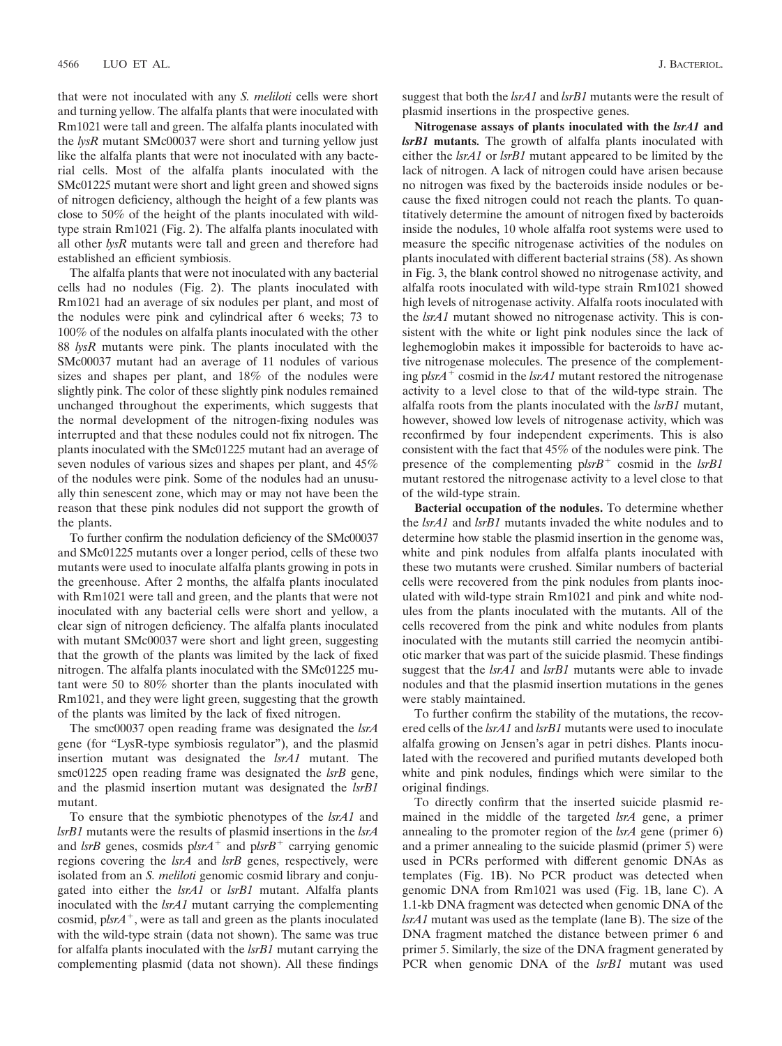that were not inoculated with any *S. meliloti* cells were short and turning yellow. The alfalfa plants that were inoculated with Rm1021 were tall and green. The alfalfa plants inoculated with the *lysR* mutant SMc00037 were short and turning yellow just like the alfalfa plants that were not inoculated with any bacterial cells. Most of the alfalfa plants inoculated with the SMc01225 mutant were short and light green and showed signs of nitrogen deficiency, although the height of a few plants was close to 50% of the height of the plants inoculated with wildtype strain Rm1021 (Fig. 2). The alfalfa plants inoculated with all other *lysR* mutants were tall and green and therefore had established an efficient symbiosis.

The alfalfa plants that were not inoculated with any bacterial cells had no nodules (Fig. 2). The plants inoculated with Rm1021 had an average of six nodules per plant, and most of the nodules were pink and cylindrical after 6 weeks; 73 to 100% of the nodules on alfalfa plants inoculated with the other 88 *lysR* mutants were pink. The plants inoculated with the SMc00037 mutant had an average of 11 nodules of various sizes and shapes per plant, and 18% of the nodules were slightly pink. The color of these slightly pink nodules remained unchanged throughout the experiments, which suggests that the normal development of the nitrogen-fixing nodules was interrupted and that these nodules could not fix nitrogen. The plants inoculated with the SMc01225 mutant had an average of seven nodules of various sizes and shapes per plant, and 45% of the nodules were pink. Some of the nodules had an unusually thin senescent zone, which may or may not have been the reason that these pink nodules did not support the growth of the plants.

To further confirm the nodulation deficiency of the SMc00037 and SMc01225 mutants over a longer period, cells of these two mutants were used to inoculate alfalfa plants growing in pots in the greenhouse. After 2 months, the alfalfa plants inoculated with Rm1021 were tall and green, and the plants that were not inoculated with any bacterial cells were short and yellow, a clear sign of nitrogen deficiency. The alfalfa plants inoculated with mutant SMc00037 were short and light green, suggesting that the growth of the plants was limited by the lack of fixed nitrogen. The alfalfa plants inoculated with the SMc01225 mutant were 50 to 80% shorter than the plants inoculated with Rm1021, and they were light green, suggesting that the growth of the plants was limited by the lack of fixed nitrogen.

The smc00037 open reading frame was designated the *lsrA* gene (for "LysR-type symbiosis regulator"), and the plasmid insertion mutant was designated the *lsrA1* mutant. The smc01225 open reading frame was designated the *lsrB* gene, and the plasmid insertion mutant was designated the *lsrB1* mutant.

To ensure that the symbiotic phenotypes of the *lsrA1* and *lsrB1* mutants were the results of plasmid insertions in the *lsrA* and *lsrB* genes, cosmids  $plsrA^+$  and  $plsrB^+$  carrying genomic regions covering the *lsrA* and *lsrB* genes, respectively, were isolated from an *S. meliloti* genomic cosmid library and conjugated into either the *lsrA1* or *lsrB1* mutant. Alfalfa plants inoculated with the *lsrA1* mutant carrying the complementing cosmid,  $plsrA^+$ , were as tall and green as the plants inoculated with the wild-type strain (data not shown). The same was true for alfalfa plants inoculated with the *lsrB1* mutant carrying the complementing plasmid (data not shown). All these findings suggest that both the *lsrA1* and *lsrB1* mutants were the result of plasmid insertions in the prospective genes.

**Nitrogenase assays of plants inoculated with the** *lsrA1* **and** *lsrB1* **mutants***.* The growth of alfalfa plants inoculated with either the *lsrA1* or *lsrB1* mutant appeared to be limited by the lack of nitrogen. A lack of nitrogen could have arisen because no nitrogen was fixed by the bacteroids inside nodules or because the fixed nitrogen could not reach the plants. To quantitatively determine the amount of nitrogen fixed by bacteroids inside the nodules, 10 whole alfalfa root systems were used to measure the specific nitrogenase activities of the nodules on plants inoculated with different bacterial strains (58). As shown in Fig. 3, the blank control showed no nitrogenase activity, and alfalfa roots inoculated with wild-type strain Rm1021 showed high levels of nitrogenase activity. Alfalfa roots inoculated with the *lsrA1* mutant showed no nitrogenase activity. This is consistent with the white or light pink nodules since the lack of leghemoglobin makes it impossible for bacteroids to have active nitrogenase molecules. The presence of the complementing  $plsrA^+$  cosmid in the *lsrA1* mutant restored the nitrogenase activity to a level close to that of the wild-type strain. The alfalfa roots from the plants inoculated with the *lsrB1* mutant, however, showed low levels of nitrogenase activity, which was reconfirmed by four independent experiments. This is also consistent with the fact that 45% of the nodules were pink. The presence of the complementing  $p/srB^+$  cosmid in the *lsrB1* mutant restored the nitrogenase activity to a level close to that of the wild-type strain.

**Bacterial occupation of the nodules.** To determine whether the *lsrA1* and *lsrB1* mutants invaded the white nodules and to determine how stable the plasmid insertion in the genome was, white and pink nodules from alfalfa plants inoculated with these two mutants were crushed. Similar numbers of bacterial cells were recovered from the pink nodules from plants inoculated with wild-type strain Rm1021 and pink and white nodules from the plants inoculated with the mutants. All of the cells recovered from the pink and white nodules from plants inoculated with the mutants still carried the neomycin antibiotic marker that was part of the suicide plasmid. These findings suggest that the *lsrA1* and *lsrB1* mutants were able to invade nodules and that the plasmid insertion mutations in the genes were stably maintained.

To further confirm the stability of the mutations, the recovered cells of the *lsrA1* and *lsrB1* mutants were used to inoculate alfalfa growing on Jensen's agar in petri dishes. Plants inoculated with the recovered and purified mutants developed both white and pink nodules, findings which were similar to the original findings.

To directly confirm that the inserted suicide plasmid remained in the middle of the targeted *lsrA* gene, a primer annealing to the promoter region of the *lsrA* gene (primer 6) and a primer annealing to the suicide plasmid (primer 5) were used in PCRs performed with different genomic DNAs as templates (Fig. 1B). No PCR product was detected when genomic DNA from Rm1021 was used (Fig. 1B, lane C). A 1.1-kb DNA fragment was detected when genomic DNA of the *lsrA1* mutant was used as the template (lane B). The size of the DNA fragment matched the distance between primer 6 and primer 5. Similarly, the size of the DNA fragment generated by PCR when genomic DNA of the *lsrB1* mutant was used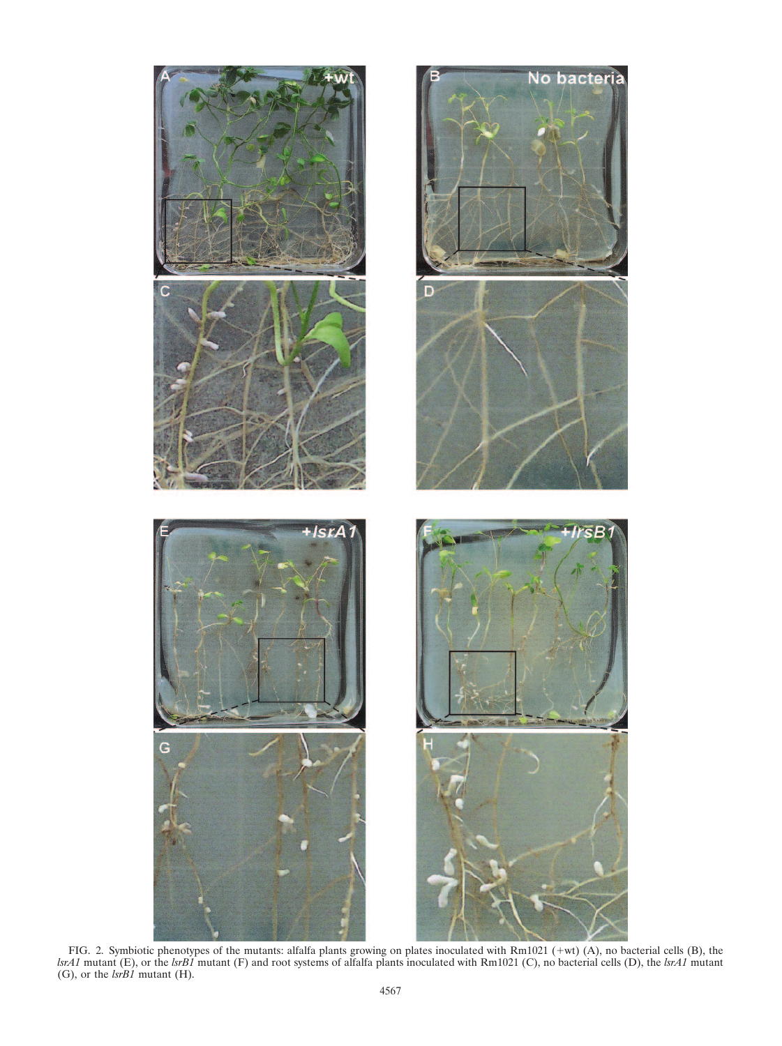

FIG. 2. Symbiotic phenotypes of the mutants: alfalfa plants growing on plates inoculated with  $Rm1021$  (+wt) (A), no bacterial cells (B), the *lsrA1* mutant (E), or the *lsrB1* mutant (F) and root systems of alfalfa plants inoculated with Rm1021 (C), no bacterial cells (D), the *lsrA1* mutant (G), or the *lsrB1* mutant (H).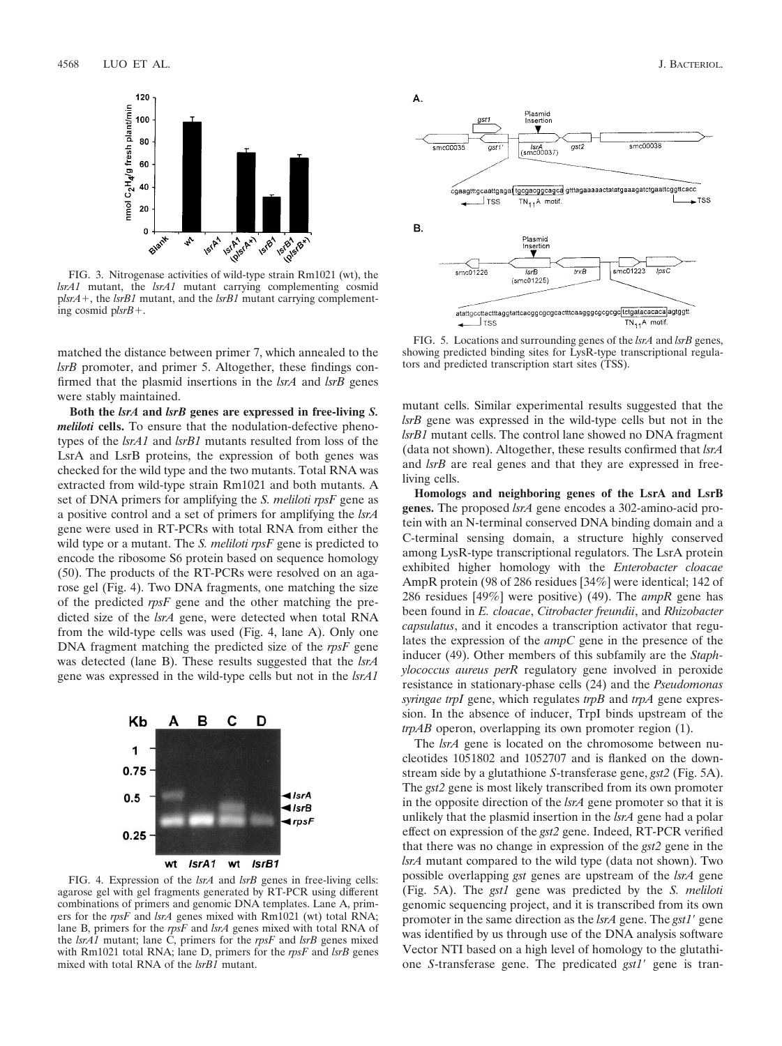

FIG. 3. Nitrogenase activities of wild-type strain Rm1021 (wt), the *lsrA1* mutant, the *lsrA1* mutant carrying complementing cosmid p*lsrA*, the *lsrB1* mutant, and the *lsrB1* mutant carrying complementing cosmid plsrB+.

matched the distance between primer 7, which annealed to the *lsrB* promoter, and primer 5. Altogether, these findings confirmed that the plasmid insertions in the *lsrA* and *lsrB* genes were stably maintained.

**Both the** *lsrA* **and** *lsrB* **genes are expressed in free-living** *S. meliloti* **cells.** To ensure that the nodulation-defective phenotypes of the *lsrA1* and *lsrB1* mutants resulted from loss of the LsrA and LsrB proteins, the expression of both genes was checked for the wild type and the two mutants. Total RNA was extracted from wild-type strain Rm1021 and both mutants. A set of DNA primers for amplifying the *S. meliloti rpsF* gene as a positive control and a set of primers for amplifying the *lsrA* gene were used in RT-PCRs with total RNA from either the wild type or a mutant. The *S. meliloti rpsF* gene is predicted to encode the ribosome S6 protein based on sequence homology (50). The products of the RT-PCRs were resolved on an agarose gel (Fig. 4). Two DNA fragments, one matching the size of the predicted *rpsF* gene and the other matching the predicted size of the *lsrA* gene, were detected when total RNA from the wild-type cells was used (Fig. 4, lane A). Only one DNA fragment matching the predicted size of the *rpsF* gene was detected (lane B). These results suggested that the *lsrA* gene was expressed in the wild-type cells but not in the *lsrA1*



FIG. 4. Expression of the *lsrA* and *lsrB* genes in free-living cells: agarose gel with gel fragments generated by RT-PCR using different combinations of primers and genomic DNA templates. Lane A, primers for the *rpsF* and *lsrA* genes mixed with Rm1021 (wt) total RNA; lane B, primers for the *rpsF* and *lsrA* genes mixed with total RNA of the *lsrA1* mutant; lane C, primers for the *rpsF* and *lsrB* genes mixed with Rm1021 total RNA; lane D, primers for the *rpsF* and *lsrB* genes mixed with total RNA of the *lsrB1* mutant.



FIG. 5. Locations and surrounding genes of the *lsrA* and *lsrB* genes, showing predicted binding sites for LysR-type transcriptional regulators and predicted transcription start sites (TSS).

mutant cells. Similar experimental results suggested that the *lsrB* gene was expressed in the wild-type cells but not in the *lsrB1* mutant cells. The control lane showed no DNA fragment (data not shown). Altogether, these results confirmed that *lsrA* and *lsrB* are real genes and that they are expressed in freeliving cells.

**Homologs and neighboring genes of the LsrA and LsrB genes.** The proposed *lsrA* gene encodes a 302-amino-acid protein with an N-terminal conserved DNA binding domain and a C-terminal sensing domain, a structure highly conserved among LysR-type transcriptional regulators. The LsrA protein exhibited higher homology with the *Enterobacter cloacae* AmpR protein (98 of 286 residues [34%] were identical; 142 of 286 residues [49%] were positive) (49). The *ampR* gene has been found in *E. cloacae*, *Citrobacter freundii*, and *Rhizobacter capsulatus*, and it encodes a transcription activator that regulates the expression of the *ampC* gene in the presence of the inducer (49). Other members of this subfamily are the *Staphylococcus aureus perR* regulatory gene involved in peroxide resistance in stationary-phase cells (24) and the *Pseudomonas syringae trpI* gene, which regulates *trpB* and *trpA* gene expression. In the absence of inducer, TrpI binds upstream of the *trpAB* operon, overlapping its own promoter region (1).

The *lsrA* gene is located on the chromosome between nucleotides 1051802 and 1052707 and is flanked on the downstream side by a glutathione *S*-transferase gene, *gst2* (Fig. 5A). The *gst2* gene is most likely transcribed from its own promoter in the opposite direction of the *lsrA* gene promoter so that it is unlikely that the plasmid insertion in the *lsrA* gene had a polar effect on expression of the *gst2* gene. Indeed, RT-PCR verified that there was no change in expression of the *gst2* gene in the *lsrA* mutant compared to the wild type (data not shown). Two possible overlapping *gst* genes are upstream of the *lsrA* gene (Fig. 5A). The *gst1* gene was predicted by the *S. meliloti* genomic sequencing project, and it is transcribed from its own promoter in the same direction as the *lsrA* gene. The *gst1'* gene was identified by us through use of the DNA analysis software Vector NTI based on a high level of homology to the glutathione *S*-transferase gene. The predicated *gst1* gene is tran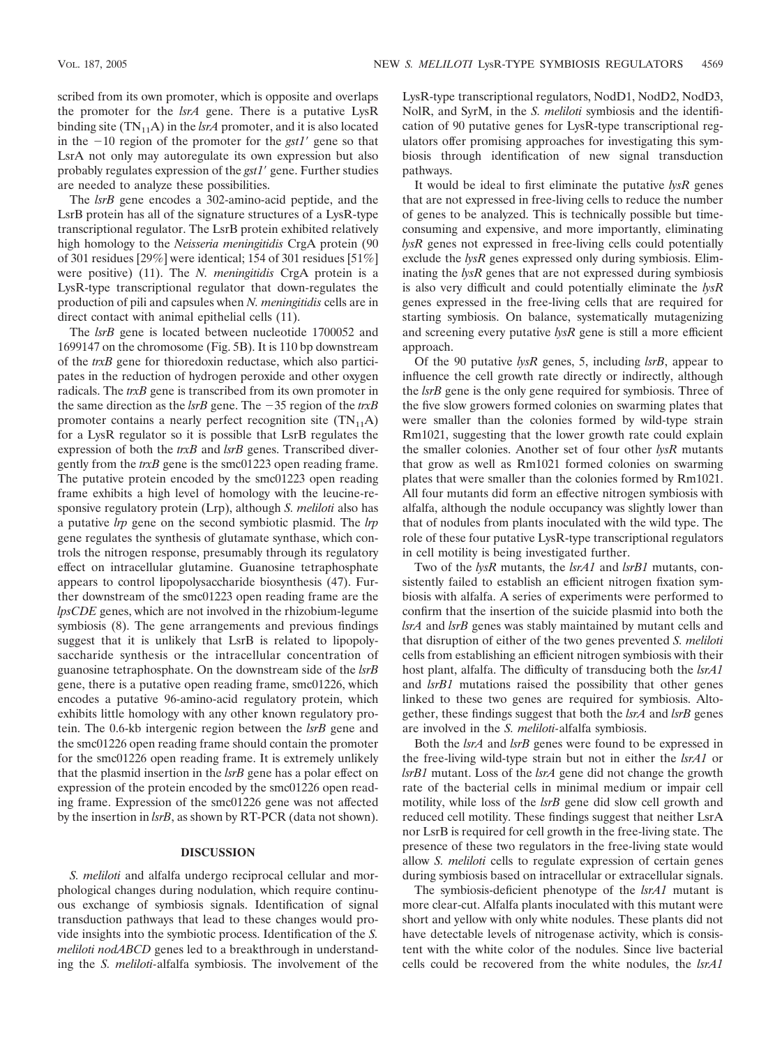scribed from its own promoter, which is opposite and overlaps the promoter for the *lsrA* gene. There is a putative LysR binding site  $(TN_{11}A)$  in the *lsrA* promoter, and it is also located in the  $-10$  region of the promoter for the *gst1'* gene so that LsrA not only may autoregulate its own expression but also probably regulates expression of the *gst1* gene. Further studies are needed to analyze these possibilities.

The *lsrB* gene encodes a 302-amino-acid peptide, and the LsrB protein has all of the signature structures of a LysR-type transcriptional regulator. The LsrB protein exhibited relatively high homology to the *Neisseria meningitidis* CrgA protein (90 of 301 residues [29%] were identical; 154 of 301 residues [51%] were positive) (11). The *N. meningitidis* CrgA protein is a LysR-type transcriptional regulator that down-regulates the production of pili and capsules when *N. meningitidis* cells are in direct contact with animal epithelial cells (11).

The *lsrB* gene is located between nucleotide 1700052 and 1699147 on the chromosome (Fig. 5B). It is 110 bp downstream of the *trxB* gene for thioredoxin reductase, which also participates in the reduction of hydrogen peroxide and other oxygen radicals. The *trxB* gene is transcribed from its own promoter in the same direction as the  $lsrB$  gene. The  $-35$  region of the  $trxB$ promoter contains a nearly perfect recognition site  $(TN_{11}A)$ for a LysR regulator so it is possible that LsrB regulates the expression of both the *trxB* and *lsrB* genes. Transcribed divergently from the *trxB* gene is the smc01223 open reading frame. The putative protein encoded by the smc01223 open reading frame exhibits a high level of homology with the leucine-responsive regulatory protein (Lrp), although *S. meliloti* also has a putative *lrp* gene on the second symbiotic plasmid. The *lrp* gene regulates the synthesis of glutamate synthase, which controls the nitrogen response, presumably through its regulatory effect on intracellular glutamine. Guanosine tetraphosphate appears to control lipopolysaccharide biosynthesis (47). Further downstream of the smc01223 open reading frame are the *lpsCDE* genes, which are not involved in the rhizobium-legume symbiosis (8). The gene arrangements and previous findings suggest that it is unlikely that LsrB is related to lipopolysaccharide synthesis or the intracellular concentration of guanosine tetraphosphate. On the downstream side of the *lsrB* gene, there is a putative open reading frame, smc01226, which encodes a putative 96-amino-acid regulatory protein, which exhibits little homology with any other known regulatory protein. The 0.6-kb intergenic region between the *lsrB* gene and the smc01226 open reading frame should contain the promoter for the smc01226 open reading frame. It is extremely unlikely that the plasmid insertion in the *lsrB* gene has a polar effect on expression of the protein encoded by the smc01226 open reading frame. Expression of the smc01226 gene was not affected by the insertion in *lsrB*, as shown by RT-PCR (data not shown).

# **DISCUSSION**

*S. meliloti* and alfalfa undergo reciprocal cellular and morphological changes during nodulation, which require continuous exchange of symbiosis signals. Identification of signal transduction pathways that lead to these changes would provide insights into the symbiotic process. Identification of the *S. meliloti nodABCD* genes led to a breakthrough in understanding the *S. meliloti-*alfalfa symbiosis. The involvement of the LysR-type transcriptional regulators, NodD1, NodD2, NodD3, NolR, and SyrM, in the *S. meliloti* symbiosis and the identification of 90 putative genes for LysR-type transcriptional regulators offer promising approaches for investigating this symbiosis through identification of new signal transduction pathways.

It would be ideal to first eliminate the putative *lysR* genes that are not expressed in free-living cells to reduce the number of genes to be analyzed. This is technically possible but timeconsuming and expensive, and more importantly, eliminating *lysR* genes not expressed in free-living cells could potentially exclude the *lysR* genes expressed only during symbiosis. Eliminating the *lysR* genes that are not expressed during symbiosis is also very difficult and could potentially eliminate the *lysR* genes expressed in the free-living cells that are required for starting symbiosis. On balance, systematically mutagenizing and screening every putative *lysR* gene is still a more efficient approach.

Of the 90 putative *lysR* genes, 5, including *lsrB*, appear to influence the cell growth rate directly or indirectly, although the *lsrB* gene is the only gene required for symbiosis. Three of the five slow growers formed colonies on swarming plates that were smaller than the colonies formed by wild-type strain Rm1021, suggesting that the lower growth rate could explain the smaller colonies. Another set of four other *lysR* mutants that grow as well as Rm1021 formed colonies on swarming plates that were smaller than the colonies formed by Rm1021. All four mutants did form an effective nitrogen symbiosis with alfalfa, although the nodule occupancy was slightly lower than that of nodules from plants inoculated with the wild type. The role of these four putative LysR-type transcriptional regulators in cell motility is being investigated further.

Two of the *lysR* mutants, the *lsrA1* and *lsrB1* mutants, consistently failed to establish an efficient nitrogen fixation symbiosis with alfalfa. A series of experiments were performed to confirm that the insertion of the suicide plasmid into both the *lsrA* and *lsrB* genes was stably maintained by mutant cells and that disruption of either of the two genes prevented *S. meliloti* cells from establishing an efficient nitrogen symbiosis with their host plant, alfalfa. The difficulty of transducing both the *lsrA1* and *lsrB1* mutations raised the possibility that other genes linked to these two genes are required for symbiosis. Altogether, these findings suggest that both the *lsrA* and *lsrB* genes are involved in the *S. meliloti-*alfalfa symbiosis.

Both the *lsrA* and *lsrB* genes were found to be expressed in the free-living wild-type strain but not in either the *lsrA1* or *lsrB1* mutant. Loss of the *lsrA* gene did not change the growth rate of the bacterial cells in minimal medium or impair cell motility, while loss of the *lsrB* gene did slow cell growth and reduced cell motility. These findings suggest that neither LsrA nor LsrB is required for cell growth in the free-living state. The presence of these two regulators in the free-living state would allow *S. meliloti* cells to regulate expression of certain genes during symbiosis based on intracellular or extracellular signals.

The symbiosis-deficient phenotype of the *lsrA1* mutant is more clear-cut. Alfalfa plants inoculated with this mutant were short and yellow with only white nodules. These plants did not have detectable levels of nitrogenase activity, which is consistent with the white color of the nodules. Since live bacterial cells could be recovered from the white nodules, the *lsrA1*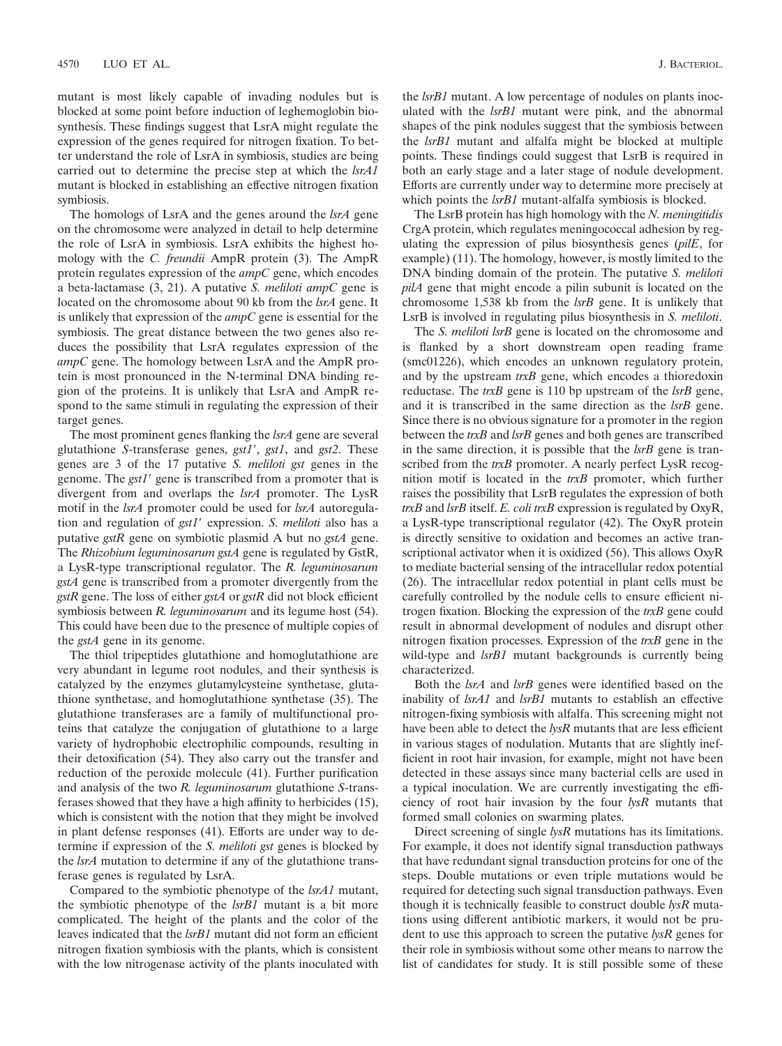mutant is most likely capable of invading nodules but is blocked at some point before induction of leghemoglobin biosynthesis. These findings suggest that LsrA might regulate the expression of the genes required for nitrogen fixation. To better understand the role of LsrA in symbiosis, studies are being carried out to determine the precise step at which the *lsrA1* mutant is blocked in establishing an effective nitrogen fixation symbiosis.

The homologs of LsrA and the genes around the *lsrA* gene on the chromosome were analyzed in detail to help determine the role of LsrA in symbiosis. LsrA exhibits the highest homology with the *C. freundii* AmpR protein (3). The AmpR protein regulates expression of the *ampC* gene, which encodes a beta-lactamase (3, 21). A putative *S. meliloti ampC* gene is located on the chromosome about 90 kb from the *lsrA* gene. It is unlikely that expression of the *ampC* gene is essential for the symbiosis. The great distance between the two genes also reduces the possibility that LsrA regulates expression of the *ampC* gene. The homology between LsrA and the AmpR protein is most pronounced in the N-terminal DNA binding region of the proteins. It is unlikely that LsrA and AmpR respond to the same stimuli in regulating the expression of their target genes.

The most prominent genes flanking the *lsrA* gene are several glutathione *S*-transferase genes, *gst1* , *gst1*, and *gst2*. These genes are 3 of the 17 putative *S. meliloti gst* genes in the genome. The *gst1'* gene is transcribed from a promoter that is divergent from and overlaps the *lsrA* promoter. The LysR motif in the *lsrA* promoter could be used for *lsrA* autoregulation and regulation of *gst1* expression. *S. meliloti* also has a putative *gstR* gene on symbiotic plasmid A but no *gstA* gene. The *Rhizobium leguminosarum gstA* gene is regulated by GstR, a LysR-type transcriptional regulator. The *R. leguminosarum gstA* gene is transcribed from a promoter divergently from the *gstR* gene. The loss of either *gstA* or *gstR* did not block efficient symbiosis between *R. leguminosarum* and its legume host (54). This could have been due to the presence of multiple copies of the *gstA* gene in its genome.

The thiol tripeptides glutathione and homoglutathione are very abundant in legume root nodules, and their synthesis is catalyzed by the enzymes glutamylcysteine synthetase, glutathione synthetase, and homoglutathione synthetase (35). The glutathione transferases are a family of multifunctional proteins that catalyze the conjugation of glutathione to a large variety of hydrophobic electrophilic compounds, resulting in their detoxification (54). They also carry out the transfer and reduction of the peroxide molecule (41). Further purification and analysis of the two *R. leguminosarum* glutathione *S*-transferases showed that they have a high affinity to herbicides (15), which is consistent with the notion that they might be involved in plant defense responses (41). Efforts are under way to determine if expression of the *S. meliloti gst* genes is blocked by the *lsrA* mutation to determine if any of the glutathione transferase genes is regulated by LsrA.

Compared to the symbiotic phenotype of the *lsrA1* mutant, the symbiotic phenotype of the *lsrB1* mutant is a bit more complicated. The height of the plants and the color of the leaves indicated that the *lsrB1* mutant did not form an efficient nitrogen fixation symbiosis with the plants, which is consistent with the low nitrogenase activity of the plants inoculated with

the *lsrB1* mutant. A low percentage of nodules on plants inoculated with the *lsrB1* mutant were pink, and the abnormal shapes of the pink nodules suggest that the symbiosis between the *lsrB1* mutant and alfalfa might be blocked at multiple points. These findings could suggest that LsrB is required in both an early stage and a later stage of nodule development. Efforts are currently under way to determine more precisely at which points the *lsrB1* mutant*-*alfalfa symbiosis is blocked.

The LsrB protein has high homology with the *N. meningitidis* CrgA protein, which regulates meningococcal adhesion by regulating the expression of pilus biosynthesis genes (*pilE*, for example) (11). The homology, however, is mostly limited to the DNA binding domain of the protein. The putative *S. meliloti pilA* gene that might encode a pilin subunit is located on the chromosome 1,538 kb from the *lsrB* gene. It is unlikely that LsrB is involved in regulating pilus biosynthesis in *S. meliloti*.

The *S. meliloti lsrB* gene is located on the chromosome and is flanked by a short downstream open reading frame (smc01226), which encodes an unknown regulatory protein, and by the upstream *trxB* gene, which encodes a thioredoxin reductase. The *trxB* gene is 110 bp upstream of the *lsrB* gene, and it is transcribed in the same direction as the *lsrB* gene. Since there is no obvious signature for a promoter in the region between the *trxB* and *lsrB* genes and both genes are transcribed in the same direction, it is possible that the *lsrB* gene is transcribed from the *trxB* promoter. A nearly perfect LysR recognition motif is located in the *trxB* promoter, which further raises the possibility that LsrB regulates the expression of both *trxB* and *lsrB* itself. *E. coli trxB* expression is regulated by OxyR, a LysR-type transcriptional regulator (42). The OxyR protein is directly sensitive to oxidation and becomes an active transcriptional activator when it is oxidized (56). This allows OxyR to mediate bacterial sensing of the intracellular redox potential (26). The intracellular redox potential in plant cells must be carefully controlled by the nodule cells to ensure efficient nitrogen fixation. Blocking the expression of the *trxB* gene could result in abnormal development of nodules and disrupt other nitrogen fixation processes. Expression of the *trxB* gene in the wild-type and *lsrB1* mutant backgrounds is currently being characterized.

Both the *lsrA* and *lsrB* genes were identified based on the inability of *lsrA1* and *lsrB1* mutants to establish an effective nitrogen-fixing symbiosis with alfalfa. This screening might not have been able to detect the *lysR* mutants that are less efficient in various stages of nodulation. Mutants that are slightly inefficient in root hair invasion, for example, might not have been detected in these assays since many bacterial cells are used in a typical inoculation. We are currently investigating the efficiency of root hair invasion by the four *lysR* mutants that formed small colonies on swarming plates.

Direct screening of single *lysR* mutations has its limitations. For example, it does not identify signal transduction pathways that have redundant signal transduction proteins for one of the steps. Double mutations or even triple mutations would be required for detecting such signal transduction pathways. Even though it is technically feasible to construct double *lysR* mutations using different antibiotic markers, it would not be prudent to use this approach to screen the putative *lysR* genes for their role in symbiosis without some other means to narrow the list of candidates for study. It is still possible some of these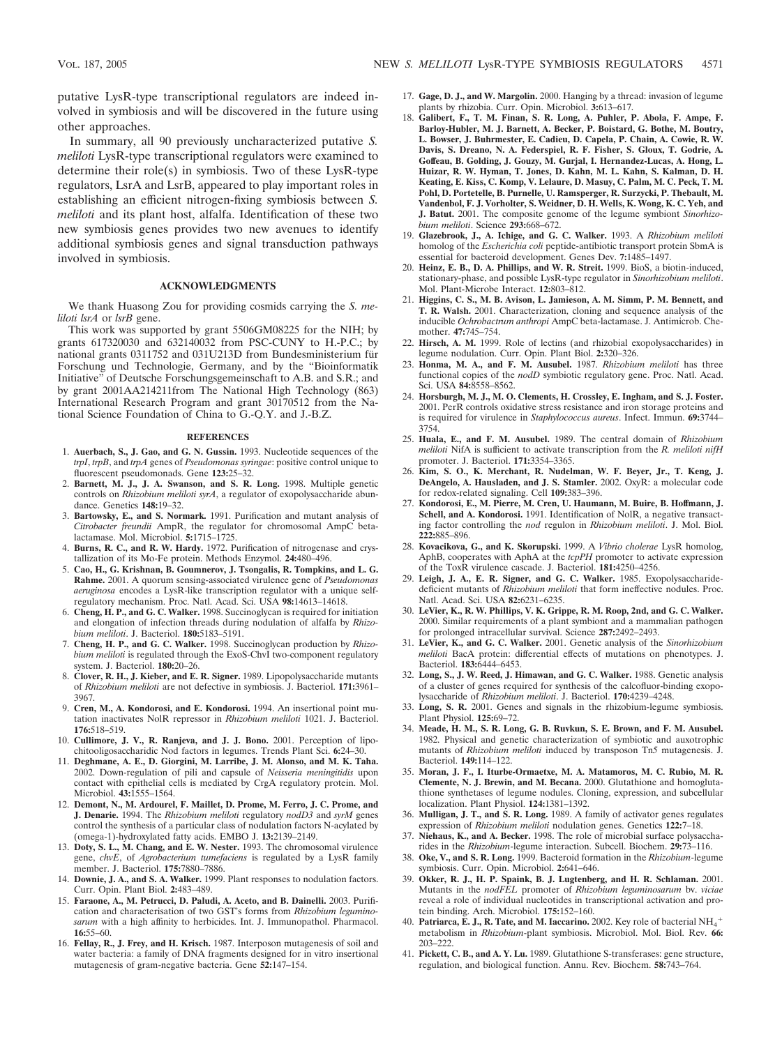putative LysR-type transcriptional regulators are indeed involved in symbiosis and will be discovered in the future using other approaches.

In summary, all 90 previously uncharacterized putative *S. meliloti* LysR-type transcriptional regulators were examined to determine their role(s) in symbiosis. Two of these LysR-type regulators, LsrA and LsrB, appeared to play important roles in establishing an efficient nitrogen-fixing symbiosis between *S. meliloti* and its plant host, alfalfa. Identification of these two new symbiosis genes provides two new avenues to identify additional symbiosis genes and signal transduction pathways involved in symbiosis.

## **ACKNOWLEDGMENTS**

We thank Huasong Zou for providing cosmids carrying the *S. meliloti lsrA* or *lsrB* gene.

This work was supported by grant 5506GM08225 for the NIH; by grants 617320030 and 632140032 from PSC-CUNY to H.-P.C.; by national grants 0311752 and 031U213D from Bundesministerium für Forschung und Technologie, Germany, and by the "Bioinformatik Initiative" of Deutsche Forschungsgemeinschaft to A.B. and S.R.; and by grant 2001AA214211from The National High Technology (863) International Research Program and grant 30170512 from the National Science Foundation of China to G.-Q.Y. and J.-B.Z.

#### **REFERENCES**

- 1. **Auerbach, S., J. Gao, and G. N. Gussin.** 1993. Nucleotide sequences of the *trpI*, *trpB*, and *trpA* genes of *Pseudomonas syringae*: positive control unique to fluorescent pseudomonads. Gene **123:**25–32.
- 2. **Barnett, M. J., J. A. Swanson, and S. R. Long.** 1998. Multiple genetic controls on *Rhizobium meliloti syrA*, a regulator of exopolysaccharide abundance. Genetics **148:**19–32.
- 3. **Bartowsky, E., and S. Normark.** 1991. Purification and mutant analysis of *Citrobacter freundii* AmpR, the regulator for chromosomal AmpC betalactamase. Mol. Microbiol. **5:**1715–1725.
- 4. **Burns, R. C., and R. W. Hardy.** 1972. Purification of nitrogenase and crystallization of its Mo-Fe protein. Methods Enzymol. **24:**480–496.
- 5. **Cao, H., G. Krishnan, B. Goumnerov, J. Tsongalis, R. Tompkins, and L. G. Rahme.** 2001. A quorum sensing-associated virulence gene of *Pseudomonas aeruginosa* encodes a LysR-like transcription regulator with a unique selfregulatory mechanism. Proc. Natl. Acad. Sci. USA **98:**14613–14618.
- 6. **Cheng, H. P., and G. C. Walker.** 1998. Succinoglycan is required for initiation and elongation of infection threads during nodulation of alfalfa by *Rhizobium meliloti*. J. Bacteriol. **180:**5183–5191.
- 7. **Cheng, H. P., and G. C. Walker.** 1998. Succinoglycan production by *Rhizobium meliloti* is regulated through the ExoS-ChvI two-component regulatory system. J. Bacteriol. **180:**20–26.
- 8. **Clover, R. H., J. Kieber, and E. R. Signer.** 1989. Lipopolysaccharide mutants of *Rhizobium meliloti* are not defective in symbiosis. J. Bacteriol. **171:**3961– 3967.
- 9. **Cren, M., A. Kondorosi, and E. Kondorosi.** 1994. An insertional point mutation inactivates NolR repressor in *Rhizobium meliloti* 1021. J. Bacteriol. **176:**518–519.
- 10. **Cullimore, J. V., R. Ranjeva, and J. J. Bono.** 2001. Perception of lipochitooligosaccharidic Nod factors in legumes. Trends Plant Sci. **6:**24–30.
- 11. **Deghmane, A. E., D. Giorgini, M. Larribe, J. M. Alonso, and M. K. Taha.** 2002. Down-regulation of pili and capsule of *Neisseria meningitidis* upon contact with epithelial cells is mediated by CrgA regulatory protein. Mol. Microbiol. **43:**1555–1564.
- 12. **Demont, N., M. Ardourel, F. Maillet, D. Prome, M. Ferro, J. C. Prome, and J. Denarie.** 1994. The *Rhizobium meliloti* regulatory *nodD3* and *syrM* genes control the synthesis of a particular class of nodulation factors N-acylated by (omega-1)-hydroxylated fatty acids. EMBO J. **13:**2139–2149.
- 13. **Doty, S. L., M. Chang, and E. W. Nester.** 1993. The chromosomal virulence gene, *chvE*, of *Agrobacterium tumefaciens* is regulated by a LysR family member. J. Bacteriol. **175:**7880–7886.
- 14. **Downie, J. A., and S. A. Walker.** 1999. Plant responses to nodulation factors. Curr. Opin. Plant Biol. **2:**483–489.
- 15. **Faraone, A., M. Petrucci, D. Paludi, A. Aceto, and B. Dainelli.** 2003. Purification and characterisation of two GST's forms from *Rhizobium leguminosarum* with a high affinity to herbicides. Int. J. Immunopathol. Pharmacol. **16:**55–60.
- 16. **Fellay, R., J. Frey, and H. Krisch.** 1987. Interposon mutagenesis of soil and water bacteria: a family of DNA fragments designed for in vitro insertional mutagenesis of gram-negative bacteria. Gene **52:**147–154.
- 17. **Gage, D. J., and W. Margolin.** 2000. Hanging by a thread: invasion of legume plants by rhizobia. Curr. Opin. Microbiol. **3:**613–617.
- 18. **Galibert, F., T. M. Finan, S. R. Long, A. Puhler, P. Abola, F. Ampe, F. Barloy-Hubler, M. J. Barnett, A. Becker, P. Boistard, G. Bothe, M. Boutry, L. Bowser, J. Buhrmester, E. Cadieu, D. Capela, P. Chain, A. Cowie, R. W. Davis, S. Dreano, N. A. Federspiel, R. F. Fisher, S. Gloux, T. Godrie, A. Goffeau, B. Golding, J. Gouzy, M. Gurjal, I. Hernandez-Lucas, A. Hong, L. Huizar, R. W. Hyman, T. Jones, D. Kahn, M. L. Kahn, S. Kalman, D. H. Keating, E. Kiss, C. Komp, V. Lelaure, D. Masuy, C. Palm, M. C. Peck, T. M. Pohl, D. Portetelle, B. Purnelle, U. Ramsperger, R. Surzycki, P. Thebault, M. Vandenbol, F. J. Vorholter, S. Weidner, D. H. Wells, K. Wong, K. C. Yeh, and J. Batut.** 2001. The composite genome of the legume symbiont *Sinorhizobium meliloti*. Science **293:**668–672.
- 19. **Glazebrook, J., A. Ichige, and G. C. Walker.** 1993. A *Rhizobium meliloti* homolog of the *Escherichia coli* peptide-antibiotic transport protein SbmA is essential for bacteroid development. Genes Dev. **7:**1485–1497.
- 20. **Heinz, E. B., D. A. Phillips, and W. R. Streit.** 1999. BioS, a biotin-induced, stationary-phase, and possible LysR-type regulator in *Sinorhizobium meliloti*. Mol. Plant-Microbe Interact. **12:**803–812.
- 21. **Higgins, C. S., M. B. Avison, L. Jamieson, A. M. Simm, P. M. Bennett, and T. R. Walsh.** 2001. Characterization, cloning and sequence analysis of the inducible *Ochrobactrum anthropi* AmpC beta-lactamase. J. Antimicrob. Chemother. **47:**745–754.
- 22. **Hirsch, A. M.** 1999. Role of lectins (and rhizobial exopolysaccharides) in legume nodulation. Curr. Opin. Plant Biol. **2:**320–326.
- 23. **Honma, M. A., and F. M. Ausubel.** 1987. *Rhizobium meliloti* has three functional copies of the *nodD* symbiotic regulatory gene. Proc. Natl. Acad. Sci. USA **84:**8558–8562.
- 24. **Horsburgh, M. J., M. O. Clements, H. Crossley, E. Ingham, and S. J. Foster.** 2001. PerR controls oxidative stress resistance and iron storage proteins and is required for virulence in *Staphylococcus aureus*. Infect. Immun. **69:**3744– 3754.
- 25. **Huala, E., and F. M. Ausubel.** 1989. The central domain of *Rhizobium meliloti* NifA is sufficient to activate transcription from the *R. meliloti nifH* promoter. J. Bacteriol. **171:**3354–3365.
- 26. **Kim, S. O., K. Merchant, R. Nudelman, W. F. Beyer, Jr., T. Keng, J. DeAngelo, A. Hausladen, and J. S. Stamler.** 2002. OxyR: a molecular code for redox-related signaling. Cell **109:**383–396.
- 27. **Kondorosi, E., M. Pierre, M. Cren, U. Haumann, M. Buire, B. Hoffmann, J. Schell, and A. Kondorosi.** 1991. Identification of NolR, a negative transacting factor controlling the *nod* regulon in *Rhizobium meliloti*. J. Mol. Biol. **222:**885–896.
- 28. **Kovacikova, G., and K. Skorupski.** 1999. A *Vibrio cholerae* LysR homolog, AphB, cooperates with AphA at the *tcpPH* promoter to activate expression of the ToxR virulence cascade. J. Bacteriol. **181:**4250–4256.
- 29. **Leigh, J. A., E. R. Signer, and G. C. Walker.** 1985. Exopolysaccharidedeficient mutants of *Rhizobium meliloti* that form ineffective nodules. Proc. Natl. Acad. Sci. USA **82:**6231–6235.
- 30. **LeVier, K., R. W. Phillips, V. K. Grippe, R. M. Roop, 2nd, and G. C. Walker.** 2000. Similar requirements of a plant symbiont and a mammalian pathogen for prolonged intracellular survival. Science **287:**2492–2493.
- 31. **LeVier, K., and G. C. Walker.** 2001. Genetic analysis of the *Sinorhizobium meliloti* BacA protein: differential effects of mutations on phenotypes. J. Bacteriol. **183:**6444–6453.
- 32. **Long, S., J. W. Reed, J. Himawan, and G. C. Walker.** 1988. Genetic analysis of a cluster of genes required for synthesis of the calcofluor-binding exopolysaccharide of *Rhizobium meliloti*. J. Bacteriol. **170:**4239–4248.
- 33. **Long, S. R.** 2001. Genes and signals in the rhizobium-legume symbiosis. Plant Physiol. **125:**69–72.
- 34. **Meade, H. M., S. R. Long, G. B. Ruvkun, S. E. Brown, and F. M. Ausubel.** 1982. Physical and genetic characterization of symbiotic and auxotrophic mutants of *Rhizobium meliloti* induced by transposon Tn*5* mutagenesis. J. Bacteriol. **149:**114–122.
- 35. **Moran, J. F., I. Iturbe-Ormaetxe, M. A. Matamoros, M. C. Rubio, M. R. Clemente, N. J. Brewin, and M. Becana.** 2000. Glutathione and homoglutathione synthetases of legume nodules. Cloning, expression, and subcellular localization. Plant Physiol. **124:**1381–1392.
- 36. **Mulligan, J. T., and S. R. Long.** 1989. A family of activator genes regulates expression of *Rhizobium meliloti* nodulation genes. Genetics **122:**7–18.
- Niehaus, K., and A. Becker. 1998. The role of microbial surface polysaccharides in the *Rhizobium*-legume interaction. Subcell. Biochem. **29:**73–116.
- 38. **Oke, V., and S. R. Long.** 1999. Bacteroid formation in the *Rhizobium*-legume symbiosis. Curr. Opin. Microbiol. **2:**641–646.
- 39. **Okker, R. J., H. P. Spaink, B. J. Lugtenberg, and H. R. Schlaman.** 2001. Mutants in the *nodFEL* promoter of *Rhizobium leguminosarum* bv. *viciae* reveal a role of individual nucleotides in transcriptional activation and protein binding. Arch. Microbiol. **175:**152–160.
- 40. **Patriarca, E. J., R. Tate, and M. Iaccarino.** 2002. Key role of bacterial  $NH_4^+$ metabolism in *Rhizobium*-plant symbiosis. Microbiol. Mol. Biol. Rev. **66:** 203–222.
- 41. **Pickett, C. B., and A. Y. Lu.** 1989. Glutathione S-transferases: gene structure, regulation, and biological function. Annu. Rev. Biochem. **58:**743–764.